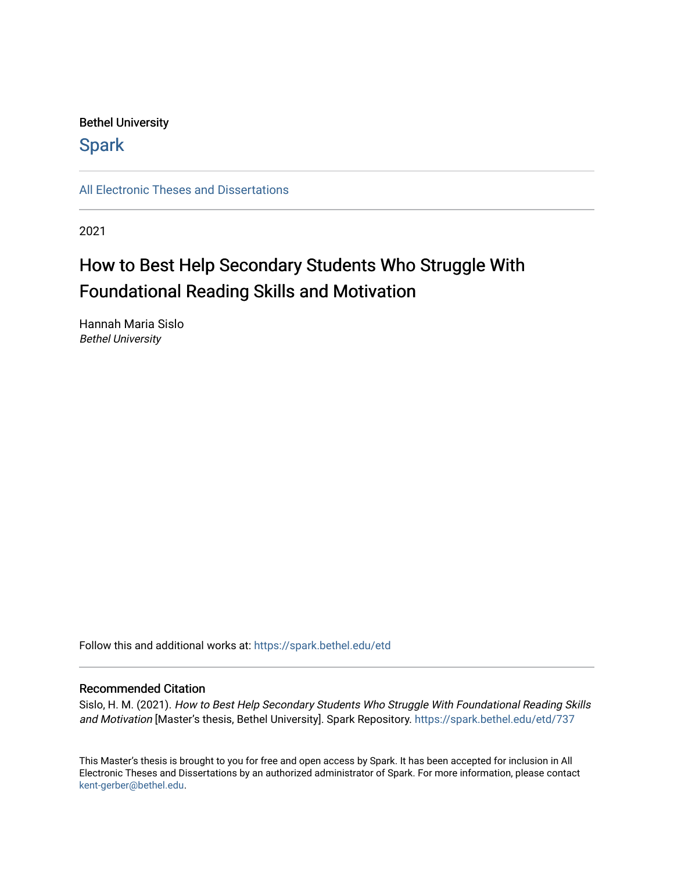# Bethel University

# **Spark**

[All Electronic Theses and Dissertations](https://spark.bethel.edu/etd) 

2021

# How to Best Help Secondary Students Who Struggle With Foundational Reading Skills and Motivation

Hannah Maria Sislo Bethel University

Follow this and additional works at: [https://spark.bethel.edu/etd](https://spark.bethel.edu/etd?utm_source=spark.bethel.edu%2Fetd%2F737&utm_medium=PDF&utm_campaign=PDFCoverPages)

# Recommended Citation

Sislo, H. M. (2021). How to Best Help Secondary Students Who Struggle With Foundational Reading Skills and Motivation [Master's thesis, Bethel University]. Spark Repository. [https://spark.bethel.edu/etd/737](https://spark.bethel.edu/etd/737?utm_source=spark.bethel.edu%2Fetd%2F737&utm_medium=PDF&utm_campaign=PDFCoverPages)

This Master's thesis is brought to you for free and open access by Spark. It has been accepted for inclusion in All Electronic Theses and Dissertations by an authorized administrator of Spark. For more information, please contact [kent-gerber@bethel.edu](mailto:kent-gerber@bethel.edu).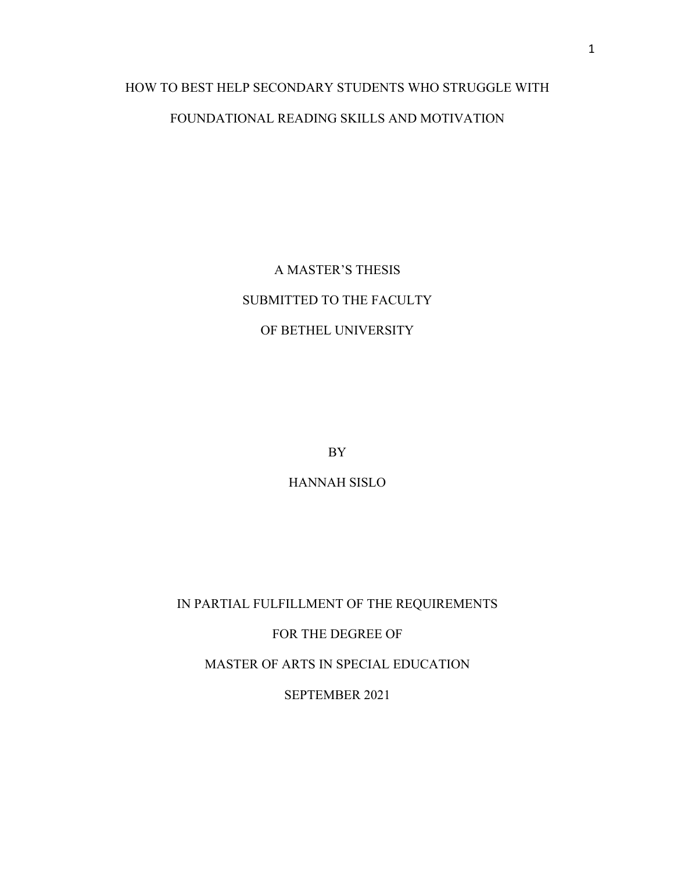# HOW TO BEST HELP SECONDARY STUDENTS WHO STRUGGLE WITH FOUNDATIONAL READING SKILLS AND MOTIVATION

A MASTER'S THESIS SUBMITTED TO THE FACULTY OF BETHEL UNIVERSITY

BY

HANNAH SISLO

IN PARTIAL FULFILLMENT OF THE REQUIREMENTS

FOR THE DEGREE OF

MASTER OF ARTS IN SPECIAL EDUCATION

SEPTEMBER 2021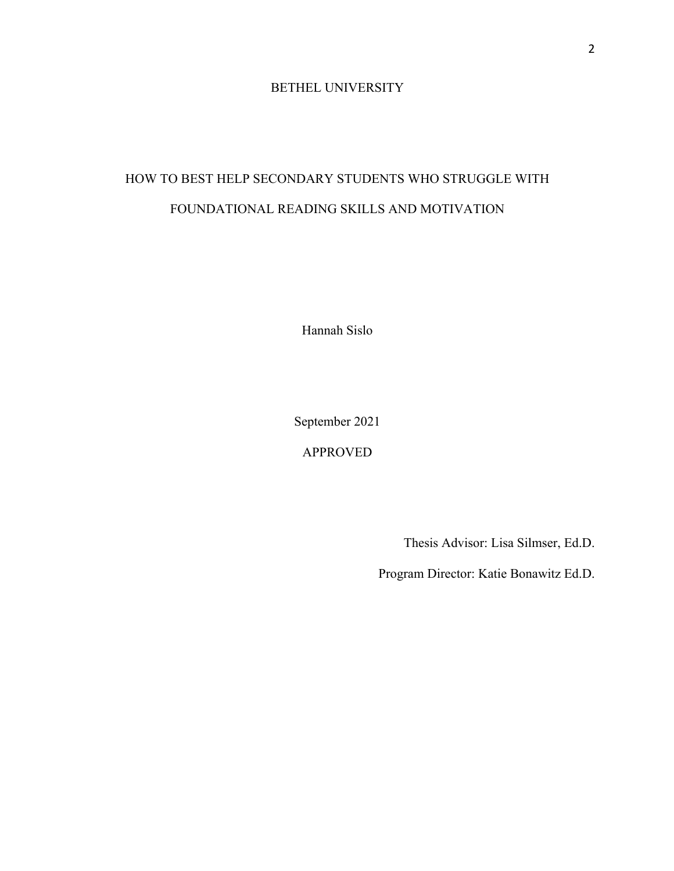# BETHEL UNIVERSITY

# HOW TO BEST HELP SECONDARY STUDENTS WHO STRUGGLE WITH FOUNDATIONAL READING SKILLS AND MOTIVATION

Hannah Sislo

September 2021

APPROVED

Thesis Advisor: Lisa Silmser, Ed.D.

Program Director: Katie Bonawitz Ed.D.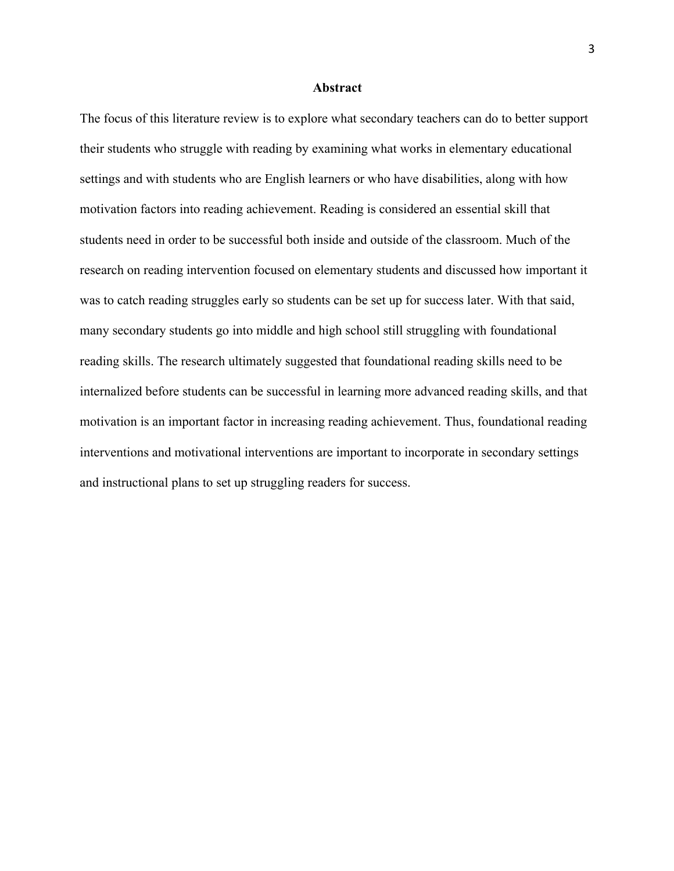#### **Abstract**

The focus of this literature review is to explore what secondary teachers can do to better support their students who struggle with reading by examining what works in elementary educational settings and with students who are English learners or who have disabilities, along with how motivation factors into reading achievement. Reading is considered an essential skill that students need in order to be successful both inside and outside of the classroom. Much of the research on reading intervention focused on elementary students and discussed how important it was to catch reading struggles early so students can be set up for success later. With that said, many secondary students go into middle and high school still struggling with foundational reading skills. The research ultimately suggested that foundational reading skills need to be internalized before students can be successful in learning more advanced reading skills, and that motivation is an important factor in increasing reading achievement. Thus, foundational reading interventions and motivational interventions are important to incorporate in secondary settings and instructional plans to set up struggling readers for success.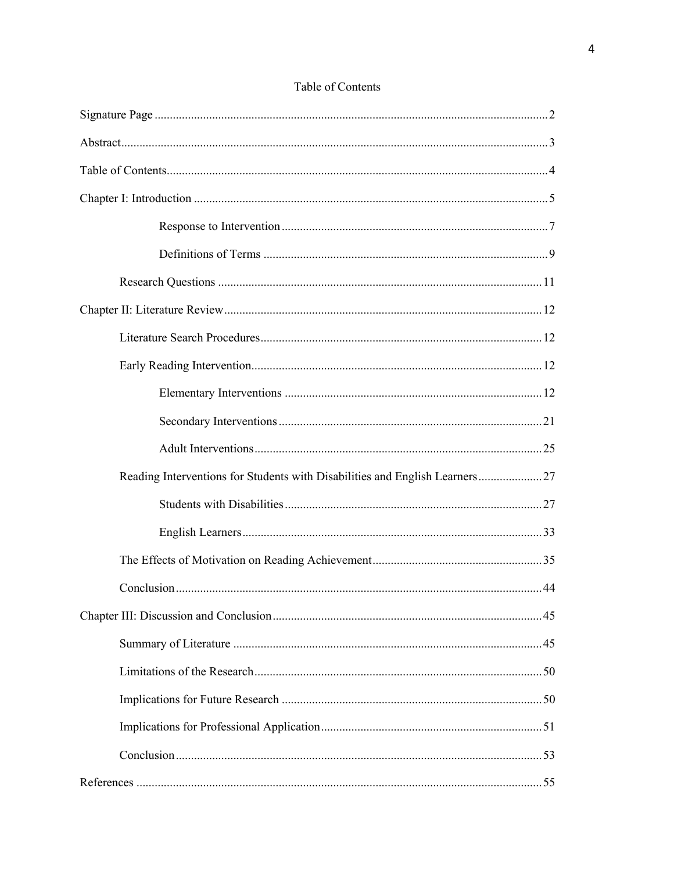| Reading Interventions for Students with Disabilities and English Learners27 |  |
|-----------------------------------------------------------------------------|--|
|                                                                             |  |
|                                                                             |  |
|                                                                             |  |
|                                                                             |  |
|                                                                             |  |
|                                                                             |  |
|                                                                             |  |
|                                                                             |  |
|                                                                             |  |
|                                                                             |  |
|                                                                             |  |

# Table of Contents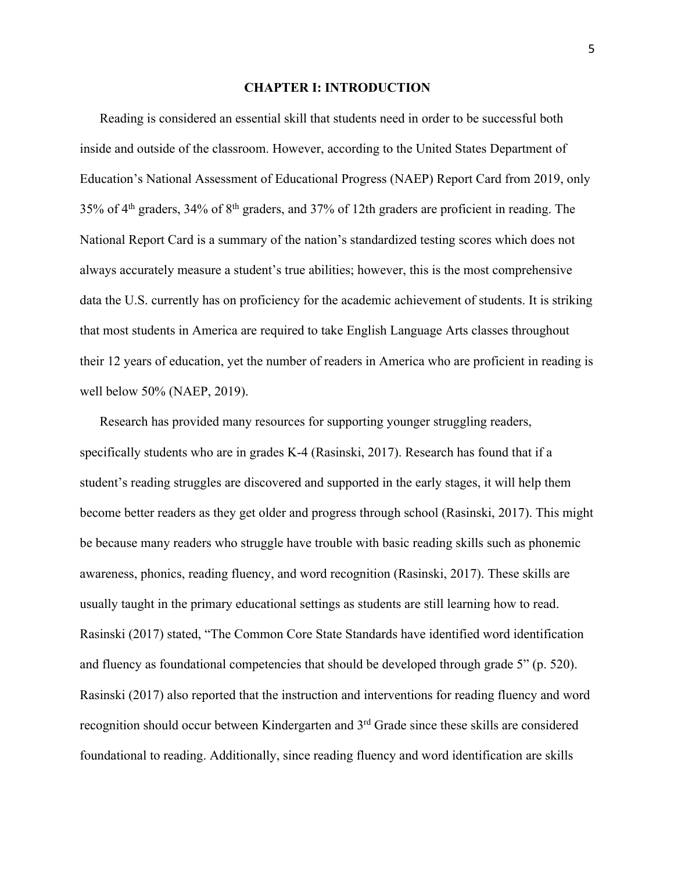## **CHAPTER I: INTRODUCTION**

Reading is considered an essential skill that students need in order to be successful both inside and outside of the classroom. However, according to the United States Department of Education's National Assessment of Educational Progress (NAEP) Report Card from 2019, only 35% of 4th graders, 34% of 8th graders, and 37% of 12th graders are proficient in reading. The National Report Card is a summary of the nation's standardized testing scores which does not always accurately measure a student's true abilities; however, this is the most comprehensive data the U.S. currently has on proficiency for the academic achievement of students. It is striking that most students in America are required to take English Language Arts classes throughout their 12 years of education, yet the number of readers in America who are proficient in reading is well below 50% (NAEP, 2019).

Research has provided many resources for supporting younger struggling readers, specifically students who are in grades K-4 (Rasinski, 2017). Research has found that if a student's reading struggles are discovered and supported in the early stages, it will help them become better readers as they get older and progress through school (Rasinski, 2017). This might be because many readers who struggle have trouble with basic reading skills such as phonemic awareness, phonics, reading fluency, and word recognition (Rasinski, 2017). These skills are usually taught in the primary educational settings as students are still learning how to read. Rasinski (2017) stated, "The Common Core State Standards have identified word identification and fluency as foundational competencies that should be developed through grade 5" (p. 520). Rasinski (2017) also reported that the instruction and interventions for reading fluency and word recognition should occur between Kindergarten and 3rd Grade since these skills are considered foundational to reading. Additionally, since reading fluency and word identification are skills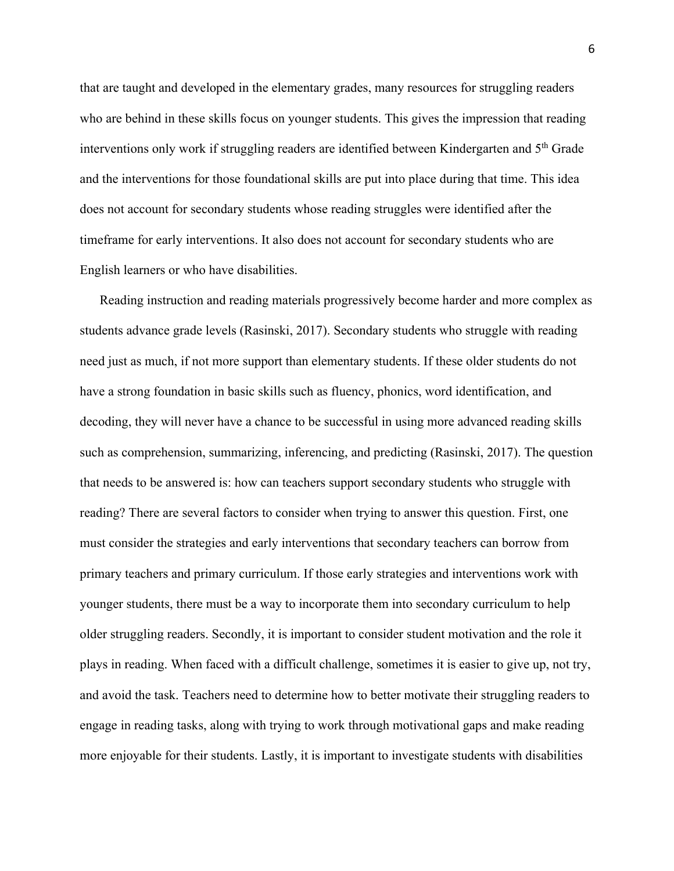that are taught and developed in the elementary grades, many resources for struggling readers who are behind in these skills focus on younger students. This gives the impression that reading interventions only work if struggling readers are identified between Kindergarten and 5th Grade and the interventions for those foundational skills are put into place during that time. This idea does not account for secondary students whose reading struggles were identified after the timeframe for early interventions. It also does not account for secondary students who are English learners or who have disabilities.

Reading instruction and reading materials progressively become harder and more complex as students advance grade levels (Rasinski, 2017). Secondary students who struggle with reading need just as much, if not more support than elementary students. If these older students do not have a strong foundation in basic skills such as fluency, phonics, word identification, and decoding, they will never have a chance to be successful in using more advanced reading skills such as comprehension, summarizing, inferencing, and predicting (Rasinski, 2017). The question that needs to be answered is: how can teachers support secondary students who struggle with reading? There are several factors to consider when trying to answer this question. First, one must consider the strategies and early interventions that secondary teachers can borrow from primary teachers and primary curriculum. If those early strategies and interventions work with younger students, there must be a way to incorporate them into secondary curriculum to help older struggling readers. Secondly, it is important to consider student motivation and the role it plays in reading. When faced with a difficult challenge, sometimes it is easier to give up, not try, and avoid the task. Teachers need to determine how to better motivate their struggling readers to engage in reading tasks, along with trying to work through motivational gaps and make reading more enjoyable for their students. Lastly, it is important to investigate students with disabilities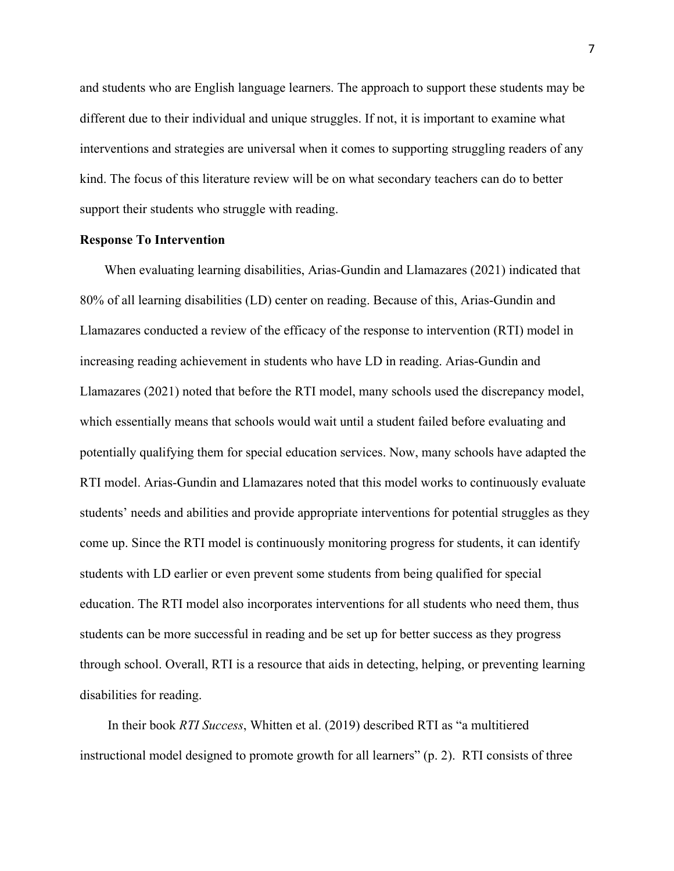and students who are English language learners. The approach to support these students may be different due to their individual and unique struggles. If not, it is important to examine what interventions and strategies are universal when it comes to supporting struggling readers of any kind. The focus of this literature review will be on what secondary teachers can do to better support their students who struggle with reading.

# **Response To Intervention**

When evaluating learning disabilities, Arias-Gundin and Llamazares (2021) indicated that 80% of all learning disabilities (LD) center on reading. Because of this, Arias-Gundin and Llamazares conducted a review of the efficacy of the response to intervention (RTI) model in increasing reading achievement in students who have LD in reading. Arias-Gundin and Llamazares (2021) noted that before the RTI model, many schools used the discrepancy model, which essentially means that schools would wait until a student failed before evaluating and potentially qualifying them for special education services. Now, many schools have adapted the RTI model. Arias-Gundin and Llamazares noted that this model works to continuously evaluate students' needs and abilities and provide appropriate interventions for potential struggles as they come up. Since the RTI model is continuously monitoring progress for students, it can identify students with LD earlier or even prevent some students from being qualified for special education. The RTI model also incorporates interventions for all students who need them, thus students can be more successful in reading and be set up for better success as they progress through school. Overall, RTI is a resource that aids in detecting, helping, or preventing learning disabilities for reading.

In their book *RTI Success*, Whitten et al. (2019) described RTI as "a multitiered instructional model designed to promote growth for all learners" (p. 2). RTI consists of three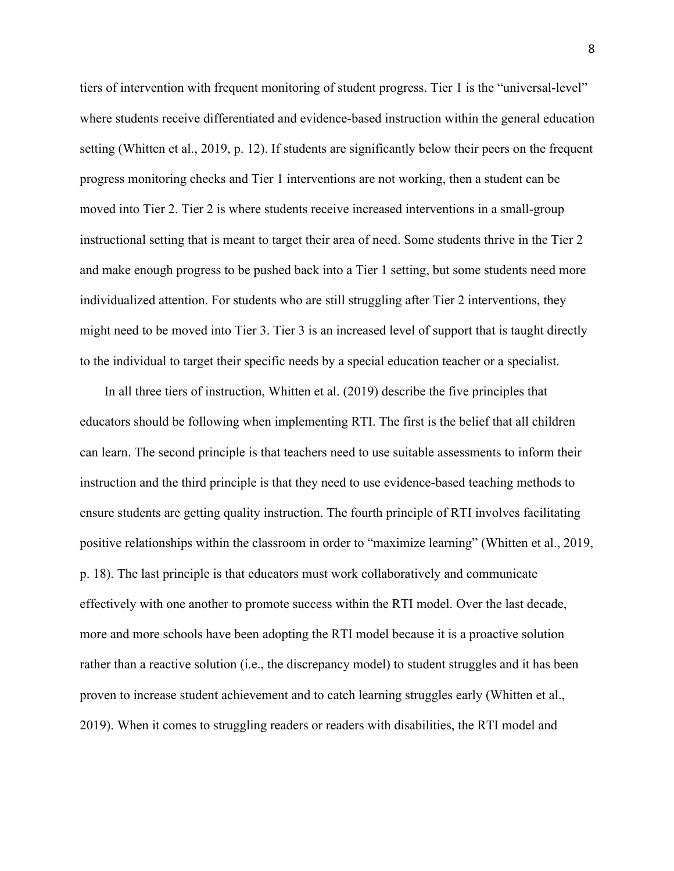tiers of intervention with frequent monitoring of student progress. Tier 1 is the "universal-level" where students receive differentiated and evidence-based instruction within the general education setting (Whitten et al., 2019, p. 12). If students are significantly below their peers on the frequent progress monitoring checks and Tier 1 interventions are not working, then a student can be moved into Tier 2. Tier 2 is where students receive increased interventions in a small-group instructional setting that is meant to target their area of need. Some students thrive in the Tier 2 and make enough progress to be pushed back into a Tier 1 setting, but some students need more individualized attention. For students who are still struggling after Tier 2 interventions, they might need to be moved into Tier 3. Tier 3 is an increased level of support that is taught directly to the individual to target their specific needs by a special education teacher or a specialist.

In all three tiers of instruction, Whitten et al. (2019) describe the five principles that educators should be following when implementing RTI. The first is the belief that all children can learn. The second principle is that teachers need to use suitable assessments to inform their instruction and the third principle is that they need to use evidence-based teaching methods to ensure students are getting quality instruction. The fourth principle of RTI involves facilitating positive relationships within the classroom in order to "maximize learning" (Whitten et al., 2019, p. 18). The last principle is that educators must work collaboratively and communicate effectively with one another to promote success within the RTI model. Over the last decade, more and more schools have been adopting the RTI model because it is a proactive solution rather than a reactive solution (i.e., the discrepancy model) to student struggles and it has been proven to increase student achievement and to catch learning struggles early (Whitten et al., 2019). When it comes to struggling readers or readers with disabilities, the RTI model and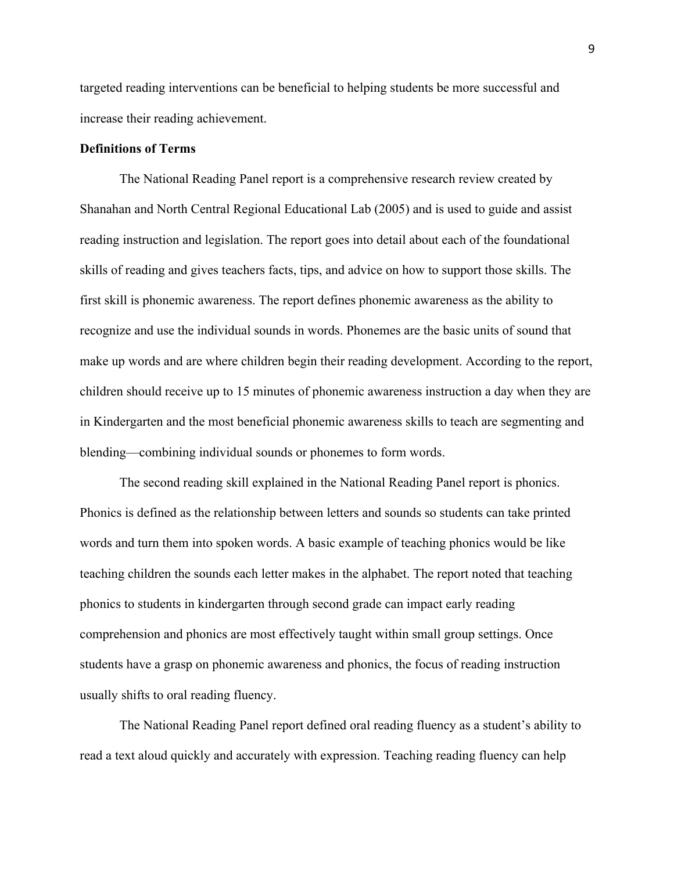targeted reading interventions can be beneficial to helping students be more successful and increase their reading achievement.

# **Definitions of Terms**

The National Reading Panel report is a comprehensive research review created by Shanahan and North Central Regional Educational Lab (2005) and is used to guide and assist reading instruction and legislation. The report goes into detail about each of the foundational skills of reading and gives teachers facts, tips, and advice on how to support those skills. The first skill is phonemic awareness. The report defines phonemic awareness as the ability to recognize and use the individual sounds in words. Phonemes are the basic units of sound that make up words and are where children begin their reading development. According to the report, children should receive up to 15 minutes of phonemic awareness instruction a day when they are in Kindergarten and the most beneficial phonemic awareness skills to teach are segmenting and blending—combining individual sounds or phonemes to form words.

The second reading skill explained in the National Reading Panel report is phonics. Phonics is defined as the relationship between letters and sounds so students can take printed words and turn them into spoken words. A basic example of teaching phonics would be like teaching children the sounds each letter makes in the alphabet. The report noted that teaching phonics to students in kindergarten through second grade can impact early reading comprehension and phonics are most effectively taught within small group settings. Once students have a grasp on phonemic awareness and phonics, the focus of reading instruction usually shifts to oral reading fluency.

The National Reading Panel report defined oral reading fluency as a student's ability to read a text aloud quickly and accurately with expression. Teaching reading fluency can help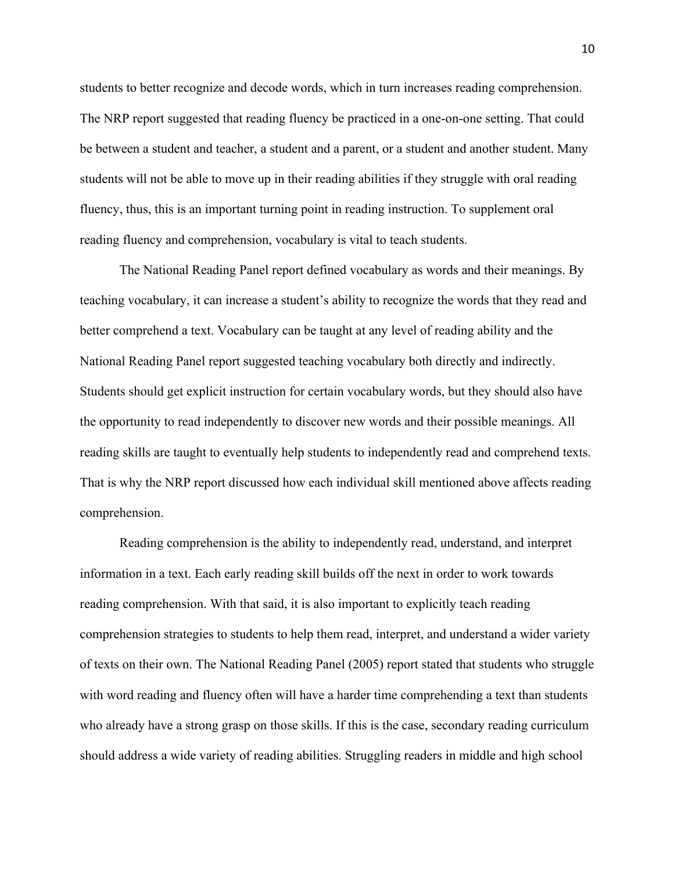students to better recognize and decode words, which in turn increases reading comprehension. The NRP report suggested that reading fluency be practiced in a one-on-one setting. That could be between a student and teacher, a student and a parent, or a student and another student. Many students will not be able to move up in their reading abilities if they struggle with oral reading fluency, thus, this is an important turning point in reading instruction. To supplement oral reading fluency and comprehension, vocabulary is vital to teach students.

The National Reading Panel report defined vocabulary as words and their meanings. By teaching vocabulary, it can increase a student's ability to recognize the words that they read and better comprehend a text. Vocabulary can be taught at any level of reading ability and the National Reading Panel report suggested teaching vocabulary both directly and indirectly. Students should get explicit instruction for certain vocabulary words, but they should also have the opportunity to read independently to discover new words and their possible meanings. All reading skills are taught to eventually help students to independently read and comprehend texts. That is why the NRP report discussed how each individual skill mentioned above affects reading comprehension.

Reading comprehension is the ability to independently read, understand, and interpret information in a text. Each early reading skill builds off the next in order to work towards reading comprehension. With that said, it is also important to explicitly teach reading comprehension strategies to students to help them read, interpret, and understand a wider variety of texts on their own. The National Reading Panel (2005) report stated that students who struggle with word reading and fluency often will have a harder time comprehending a text than students who already have a strong grasp on those skills. If this is the case, secondary reading curriculum should address a wide variety of reading abilities. Struggling readers in middle and high school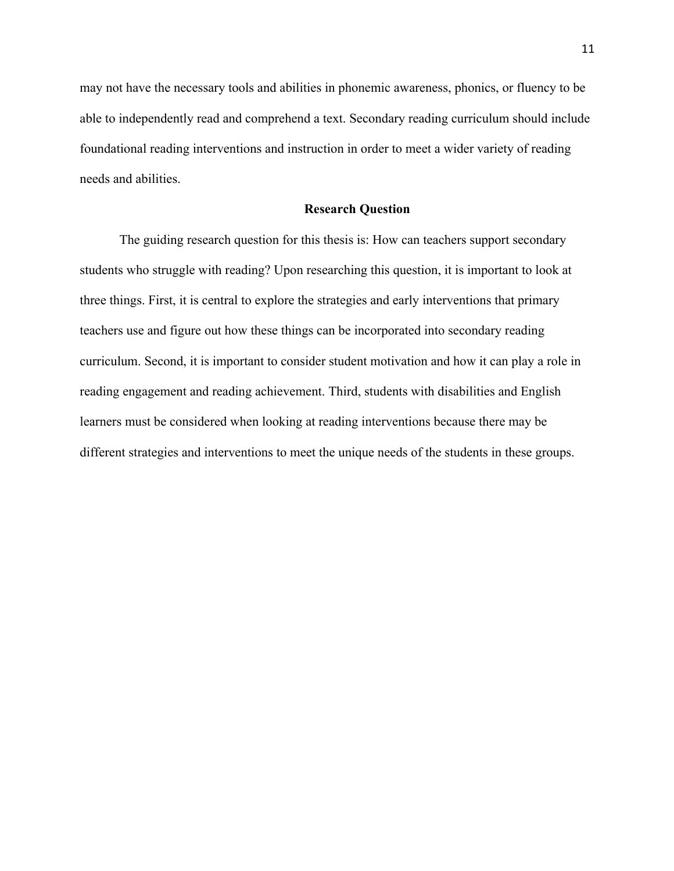may not have the necessary tools and abilities in phonemic awareness, phonics, or fluency to be able to independently read and comprehend a text. Secondary reading curriculum should include foundational reading interventions and instruction in order to meet a wider variety of reading needs and abilities.

# **Research Question**

The guiding research question for this thesis is: How can teachers support secondary students who struggle with reading? Upon researching this question, it is important to look at three things. First, it is central to explore the strategies and early interventions that primary teachers use and figure out how these things can be incorporated into secondary reading curriculum. Second, it is important to consider student motivation and how it can play a role in reading engagement and reading achievement. Third, students with disabilities and English learners must be considered when looking at reading interventions because there may be different strategies and interventions to meet the unique needs of the students in these groups.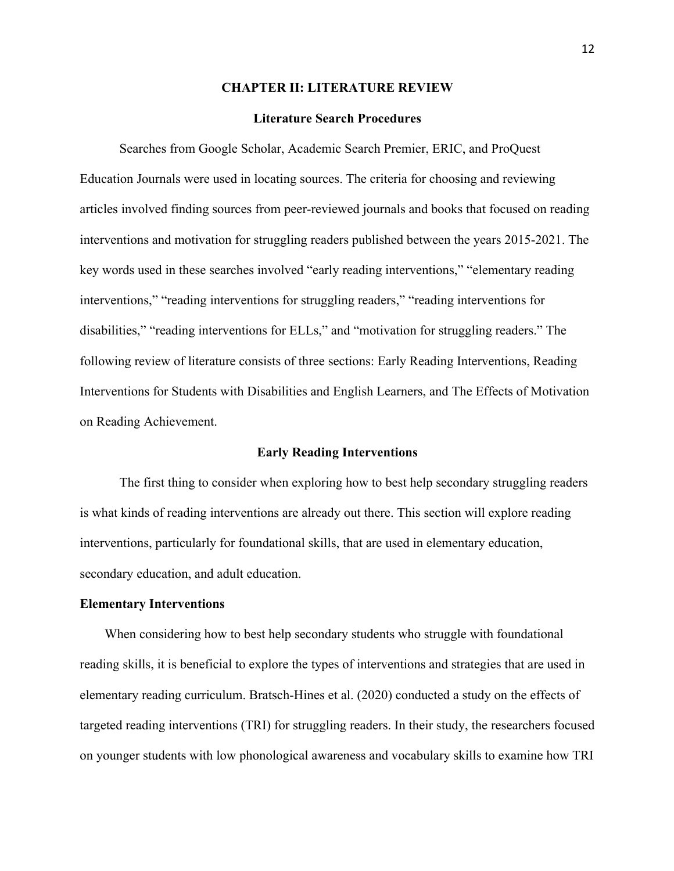## **CHAPTER II: LITERATURE REVIEW**

## **Literature Search Procedures**

Searches from Google Scholar, Academic Search Premier, ERIC, and ProQuest Education Journals were used in locating sources. The criteria for choosing and reviewing articles involved finding sources from peer-reviewed journals and books that focused on reading interventions and motivation for struggling readers published between the years 2015-2021. The key words used in these searches involved "early reading interventions," "elementary reading interventions," "reading interventions for struggling readers," "reading interventions for disabilities," "reading interventions for ELLs," and "motivation for struggling readers." The following review of literature consists of three sections: Early Reading Interventions, Reading Interventions for Students with Disabilities and English Learners, and The Effects of Motivation on Reading Achievement.

#### **Early Reading Interventions**

The first thing to consider when exploring how to best help secondary struggling readers is what kinds of reading interventions are already out there. This section will explore reading interventions, particularly for foundational skills, that are used in elementary education, secondary education, and adult education.

#### **Elementary Interventions**

When considering how to best help secondary students who struggle with foundational reading skills, it is beneficial to explore the types of interventions and strategies that are used in elementary reading curriculum. Bratsch-Hines et al. (2020) conducted a study on the effects of targeted reading interventions (TRI) for struggling readers. In their study, the researchers focused on younger students with low phonological awareness and vocabulary skills to examine how TRI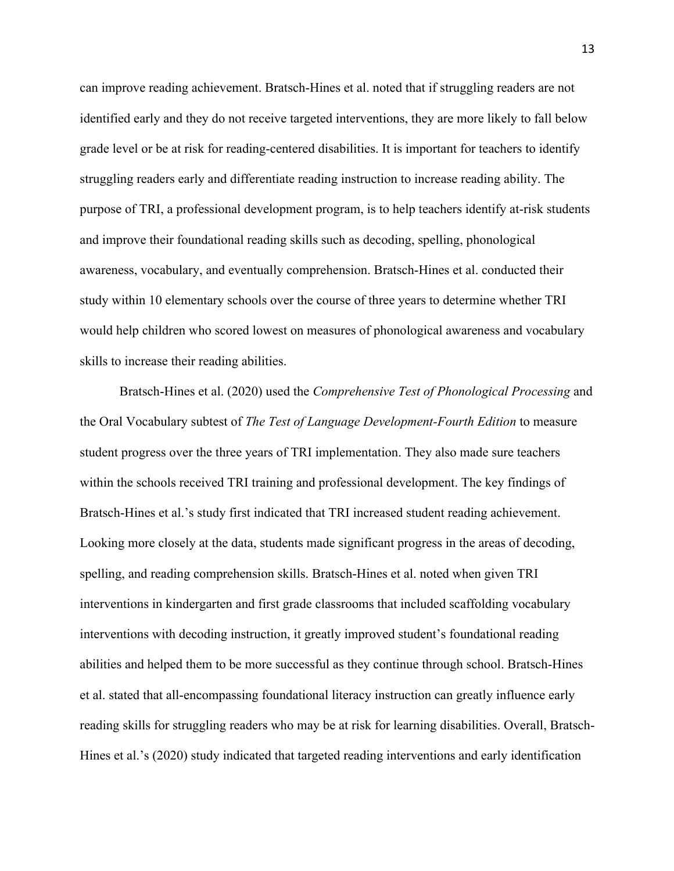can improve reading achievement. Bratsch-Hines et al. noted that if struggling readers are not identified early and they do not receive targeted interventions, they are more likely to fall below grade level or be at risk for reading-centered disabilities. It is important for teachers to identify struggling readers early and differentiate reading instruction to increase reading ability. The purpose of TRI, a professional development program, is to help teachers identify at-risk students and improve their foundational reading skills such as decoding, spelling, phonological awareness, vocabulary, and eventually comprehension. Bratsch-Hines et al. conducted their study within 10 elementary schools over the course of three years to determine whether TRI would help children who scored lowest on measures of phonological awareness and vocabulary skills to increase their reading abilities.

Bratsch-Hines et al. (2020) used the *Comprehensive Test of Phonological Processing* and the Oral Vocabulary subtest of *The Test of Language Development-Fourth Edition* to measure student progress over the three years of TRI implementation. They also made sure teachers within the schools received TRI training and professional development. The key findings of Bratsch-Hines et al.'s study first indicated that TRI increased student reading achievement. Looking more closely at the data, students made significant progress in the areas of decoding, spelling, and reading comprehension skills. Bratsch-Hines et al. noted when given TRI interventions in kindergarten and first grade classrooms that included scaffolding vocabulary interventions with decoding instruction, it greatly improved student's foundational reading abilities and helped them to be more successful as they continue through school. Bratsch-Hines et al. stated that all-encompassing foundational literacy instruction can greatly influence early reading skills for struggling readers who may be at risk for learning disabilities. Overall, Bratsch-Hines et al.'s (2020) study indicated that targeted reading interventions and early identification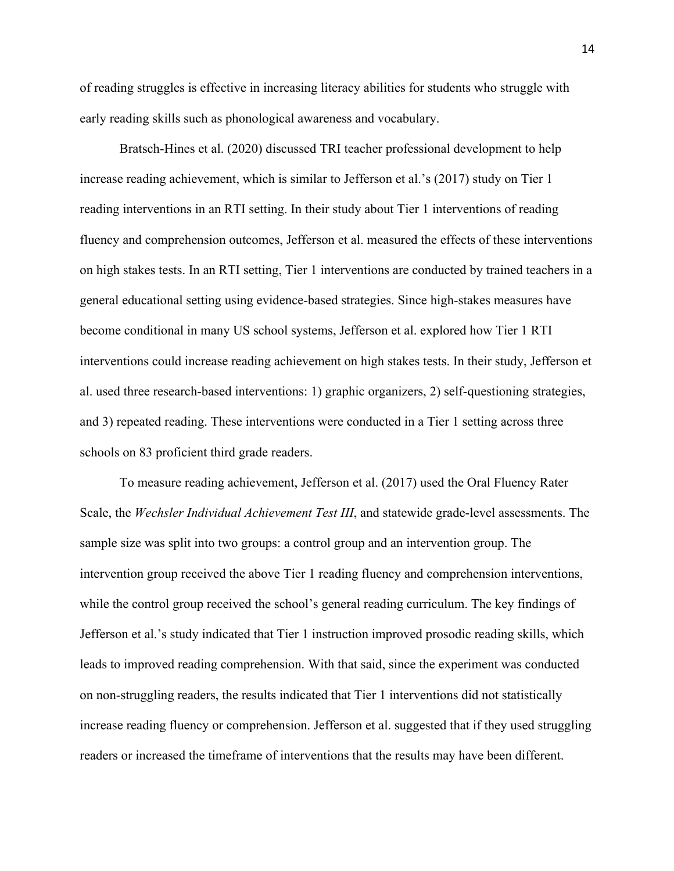of reading struggles is effective in increasing literacy abilities for students who struggle with early reading skills such as phonological awareness and vocabulary.

Bratsch-Hines et al. (2020) discussed TRI teacher professional development to help increase reading achievement, which is similar to Jefferson et al.'s (2017) study on Tier 1 reading interventions in an RTI setting. In their study about Tier 1 interventions of reading fluency and comprehension outcomes, Jefferson et al. measured the effects of these interventions on high stakes tests. In an RTI setting, Tier 1 interventions are conducted by trained teachers in a general educational setting using evidence-based strategies. Since high-stakes measures have become conditional in many US school systems, Jefferson et al. explored how Tier 1 RTI interventions could increase reading achievement on high stakes tests. In their study, Jefferson et al. used three research-based interventions: 1) graphic organizers, 2) self-questioning strategies, and 3) repeated reading. These interventions were conducted in a Tier 1 setting across three schools on 83 proficient third grade readers.

To measure reading achievement, Jefferson et al. (2017) used the Oral Fluency Rater Scale, the *Wechsler Individual Achievement Test III*, and statewide grade-level assessments. The sample size was split into two groups: a control group and an intervention group. The intervention group received the above Tier 1 reading fluency and comprehension interventions, while the control group received the school's general reading curriculum. The key findings of Jefferson et al.'s study indicated that Tier 1 instruction improved prosodic reading skills, which leads to improved reading comprehension. With that said, since the experiment was conducted on non-struggling readers, the results indicated that Tier 1 interventions did not statistically increase reading fluency or comprehension. Jefferson et al. suggested that if they used struggling readers or increased the timeframe of interventions that the results may have been different.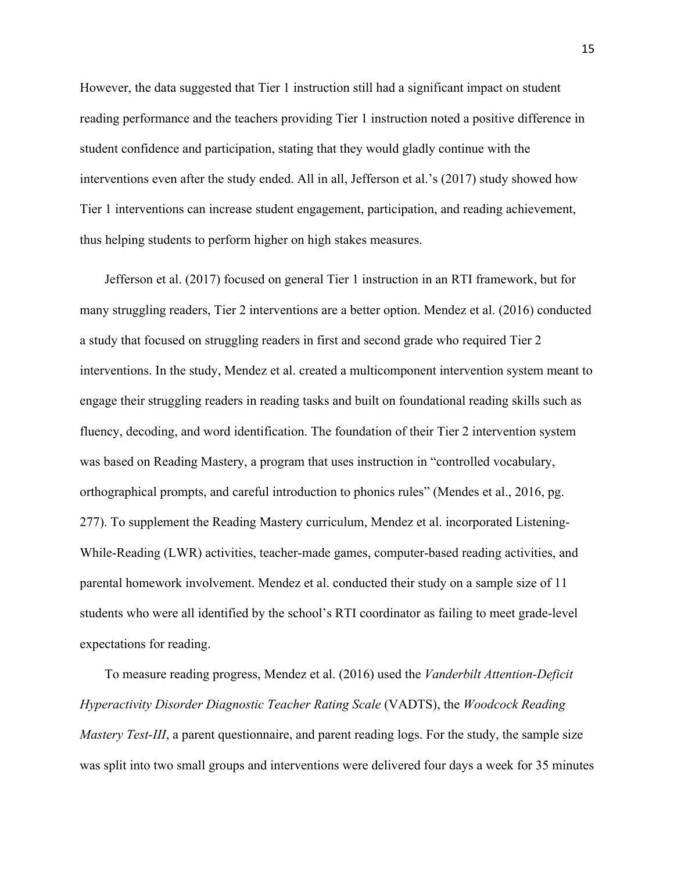However, the data suggested that Tier 1 instruction still had a significant impact on student reading performance and the teachers providing Tier 1 instruction noted a positive difference in student confidence and participation, stating that they would gladly continue with the interventions even after the study ended. All in all, Jefferson et al.'s (2017) study showed how Tier 1 interventions can increase student engagement, participation, and reading achievement, thus helping students to perform higher on high stakes measures.

Jefferson et al. (2017) focused on general Tier 1 instruction in an RTI framework, but for many struggling readers, Tier 2 interventions are a better option. Mendez et al. (2016) conducted a study that focused on struggling readers in first and second grade who required Tier 2 interventions. In the study, Mendez et al. created a multicomponent intervention system meant to engage their struggling readers in reading tasks and built on foundational reading skills such as fluency, decoding, and word identification. The foundation of their Tier 2 intervention system was based on Reading Mastery, a program that uses instruction in "controlled vocabulary, orthographical prompts, and careful introduction to phonics rules" (Mendes et al., 2016, pg. 277). To supplement the Reading Mastery curriculum, Mendez et al. incorporated Listening-While-Reading (LWR) activities, teacher-made games, computer-based reading activities, and parental homework involvement. Mendez et al. conducted their study on a sample size of 11 students who were all identified by the school's RTI coordinator as failing to meet grade-level expectations for reading.

To measure reading progress, Mendez et al. (2016) used the *Vanderbilt Attention-Deficit Hyperactivity Disorder Diagnostic Teacher Rating Scale* (VADTS), the *Woodcock Reading Mastery Test-III*, a parent questionnaire, and parent reading logs. For the study, the sample size was split into two small groups and interventions were delivered four days a week for 35 minutes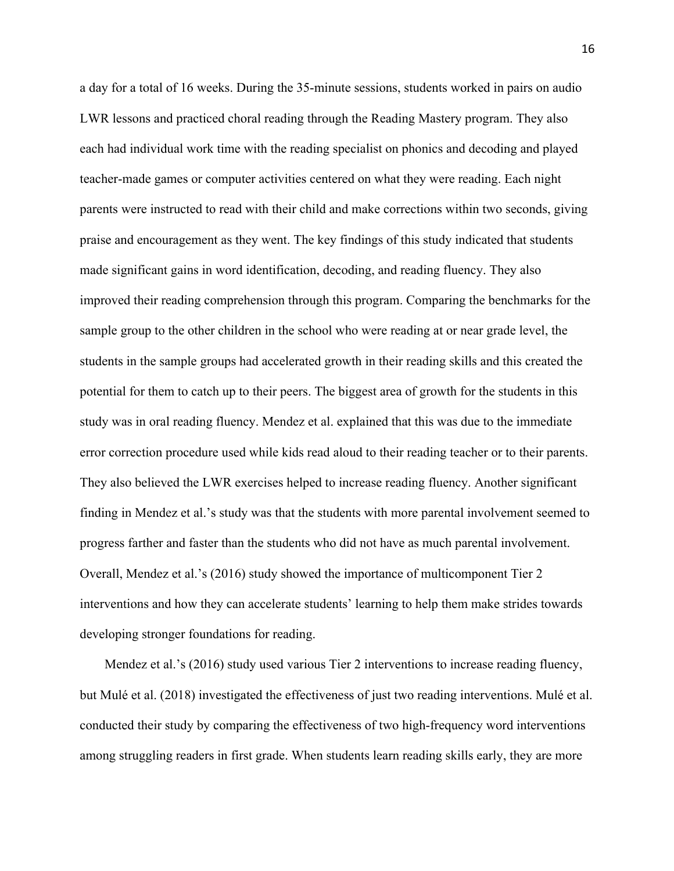a day for a total of 16 weeks. During the 35-minute sessions, students worked in pairs on audio LWR lessons and practiced choral reading through the Reading Mastery program. They also each had individual work time with the reading specialist on phonics and decoding and played teacher-made games or computer activities centered on what they were reading. Each night parents were instructed to read with their child and make corrections within two seconds, giving praise and encouragement as they went. The key findings of this study indicated that students made significant gains in word identification, decoding, and reading fluency. They also improved their reading comprehension through this program. Comparing the benchmarks for the sample group to the other children in the school who were reading at or near grade level, the students in the sample groups had accelerated growth in their reading skills and this created the potential for them to catch up to their peers. The biggest area of growth for the students in this study was in oral reading fluency. Mendez et al. explained that this was due to the immediate error correction procedure used while kids read aloud to their reading teacher or to their parents. They also believed the LWR exercises helped to increase reading fluency. Another significant finding in Mendez et al.'s study was that the students with more parental involvement seemed to progress farther and faster than the students who did not have as much parental involvement. Overall, Mendez et al.'s (2016) study showed the importance of multicomponent Tier 2 interventions and how they can accelerate students' learning to help them make strides towards developing stronger foundations for reading.

Mendez et al.'s (2016) study used various Tier 2 interventions to increase reading fluency, but Mulé et al. (2018) investigated the effectiveness of just two reading interventions. Mulé et al. conducted their study by comparing the effectiveness of two high-frequency word interventions among struggling readers in first grade. When students learn reading skills early, they are more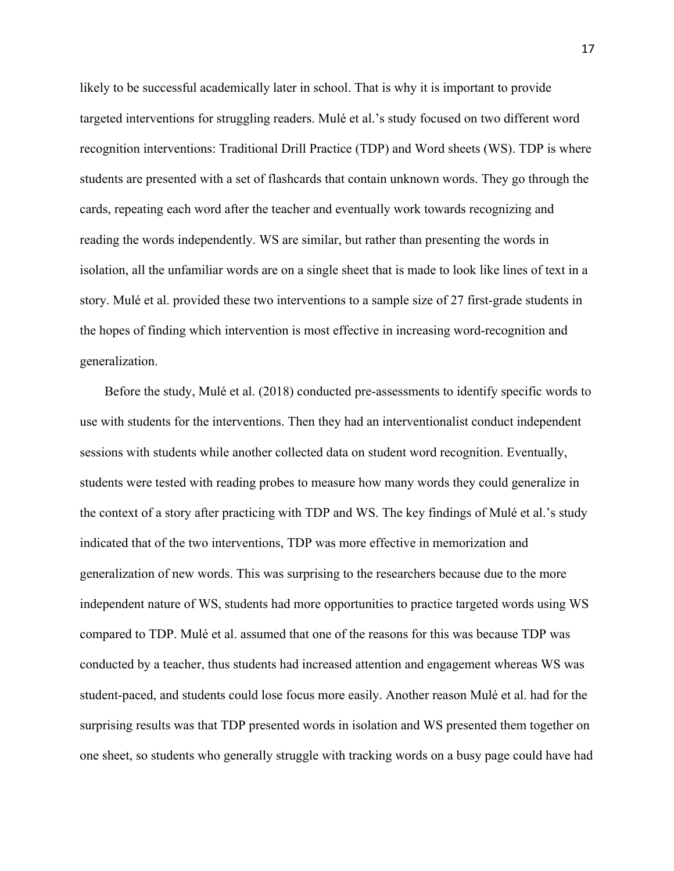likely to be successful academically later in school. That is why it is important to provide targeted interventions for struggling readers. Mulé et al.'s study focused on two different word recognition interventions: Traditional Drill Practice (TDP) and Word sheets (WS). TDP is where students are presented with a set of flashcards that contain unknown words. They go through the cards, repeating each word after the teacher and eventually work towards recognizing and reading the words independently. WS are similar, but rather than presenting the words in isolation, all the unfamiliar words are on a single sheet that is made to look like lines of text in a story. Mulé et al. provided these two interventions to a sample size of 27 first-grade students in the hopes of finding which intervention is most effective in increasing word-recognition and generalization.

Before the study, Mulé et al. (2018) conducted pre-assessments to identify specific words to use with students for the interventions. Then they had an interventionalist conduct independent sessions with students while another collected data on student word recognition. Eventually, students were tested with reading probes to measure how many words they could generalize in the context of a story after practicing with TDP and WS. The key findings of Mulé et al.'s study indicated that of the two interventions, TDP was more effective in memorization and generalization of new words. This was surprising to the researchers because due to the more independent nature of WS, students had more opportunities to practice targeted words using WS compared to TDP. Mulé et al. assumed that one of the reasons for this was because TDP was conducted by a teacher, thus students had increased attention and engagement whereas WS was student-paced, and students could lose focus more easily. Another reason Mulé et al. had for the surprising results was that TDP presented words in isolation and WS presented them together on one sheet, so students who generally struggle with tracking words on a busy page could have had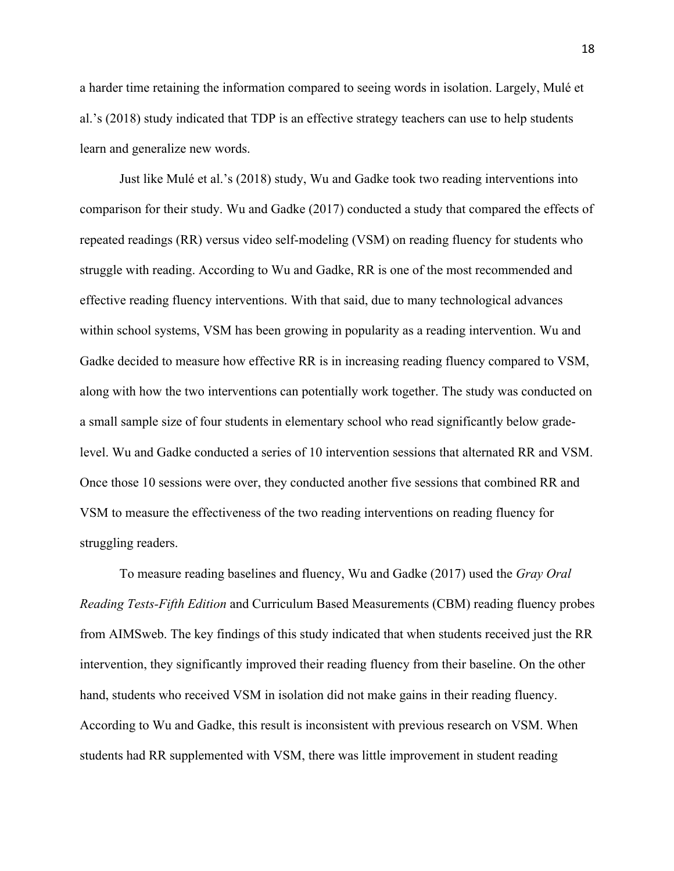a harder time retaining the information compared to seeing words in isolation. Largely, Mulé et al.'s (2018) study indicated that TDP is an effective strategy teachers can use to help students learn and generalize new words.

Just like Mulé et al.'s (2018) study, Wu and Gadke took two reading interventions into comparison for their study. Wu and Gadke (2017) conducted a study that compared the effects of repeated readings (RR) versus video self-modeling (VSM) on reading fluency for students who struggle with reading. According to Wu and Gadke, RR is one of the most recommended and effective reading fluency interventions. With that said, due to many technological advances within school systems, VSM has been growing in popularity as a reading intervention. Wu and Gadke decided to measure how effective RR is in increasing reading fluency compared to VSM, along with how the two interventions can potentially work together. The study was conducted on a small sample size of four students in elementary school who read significantly below gradelevel. Wu and Gadke conducted a series of 10 intervention sessions that alternated RR and VSM. Once those 10 sessions were over, they conducted another five sessions that combined RR and VSM to measure the effectiveness of the two reading interventions on reading fluency for struggling readers.

To measure reading baselines and fluency, Wu and Gadke (2017) used the *Gray Oral Reading Tests-Fifth Edition* and Curriculum Based Measurements (CBM) reading fluency probes from AIMSweb. The key findings of this study indicated that when students received just the RR intervention, they significantly improved their reading fluency from their baseline. On the other hand, students who received VSM in isolation did not make gains in their reading fluency. According to Wu and Gadke, this result is inconsistent with previous research on VSM. When students had RR supplemented with VSM, there was little improvement in student reading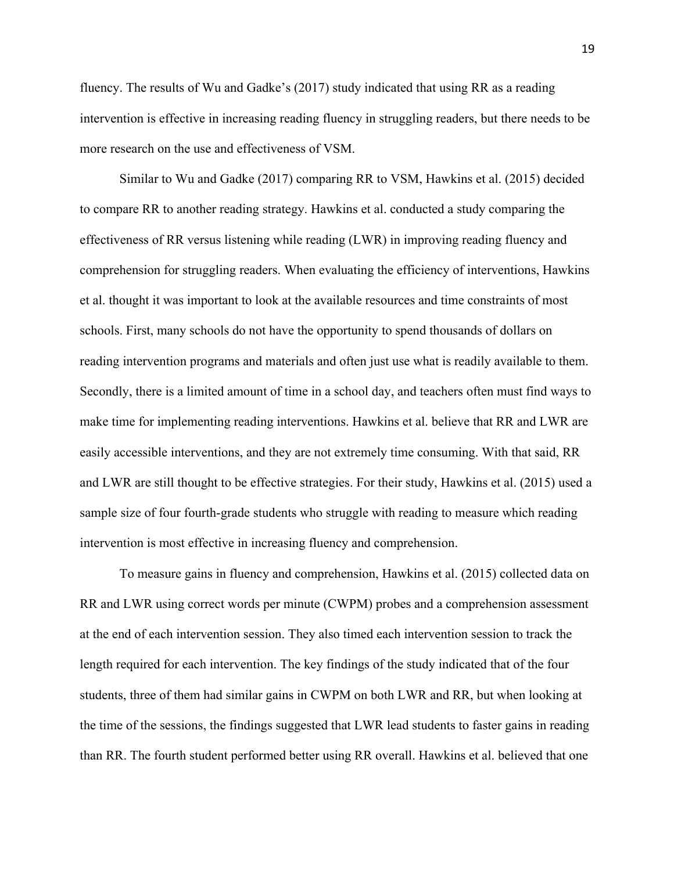fluency. The results of Wu and Gadke's (2017) study indicated that using RR as a reading intervention is effective in increasing reading fluency in struggling readers, but there needs to be more research on the use and effectiveness of VSM.

Similar to Wu and Gadke (2017) comparing RR to VSM, Hawkins et al. (2015) decided to compare RR to another reading strategy. Hawkins et al. conducted a study comparing the effectiveness of RR versus listening while reading (LWR) in improving reading fluency and comprehension for struggling readers. When evaluating the efficiency of interventions, Hawkins et al. thought it was important to look at the available resources and time constraints of most schools. First, many schools do not have the opportunity to spend thousands of dollars on reading intervention programs and materials and often just use what is readily available to them. Secondly, there is a limited amount of time in a school day, and teachers often must find ways to make time for implementing reading interventions. Hawkins et al. believe that RR and LWR are easily accessible interventions, and they are not extremely time consuming. With that said, RR and LWR are still thought to be effective strategies. For their study, Hawkins et al. (2015) used a sample size of four fourth-grade students who struggle with reading to measure which reading intervention is most effective in increasing fluency and comprehension.

To measure gains in fluency and comprehension, Hawkins et al. (2015) collected data on RR and LWR using correct words per minute (CWPM) probes and a comprehension assessment at the end of each intervention session. They also timed each intervention session to track the length required for each intervention. The key findings of the study indicated that of the four students, three of them had similar gains in CWPM on both LWR and RR, but when looking at the time of the sessions, the findings suggested that LWR lead students to faster gains in reading than RR. The fourth student performed better using RR overall. Hawkins et al. believed that one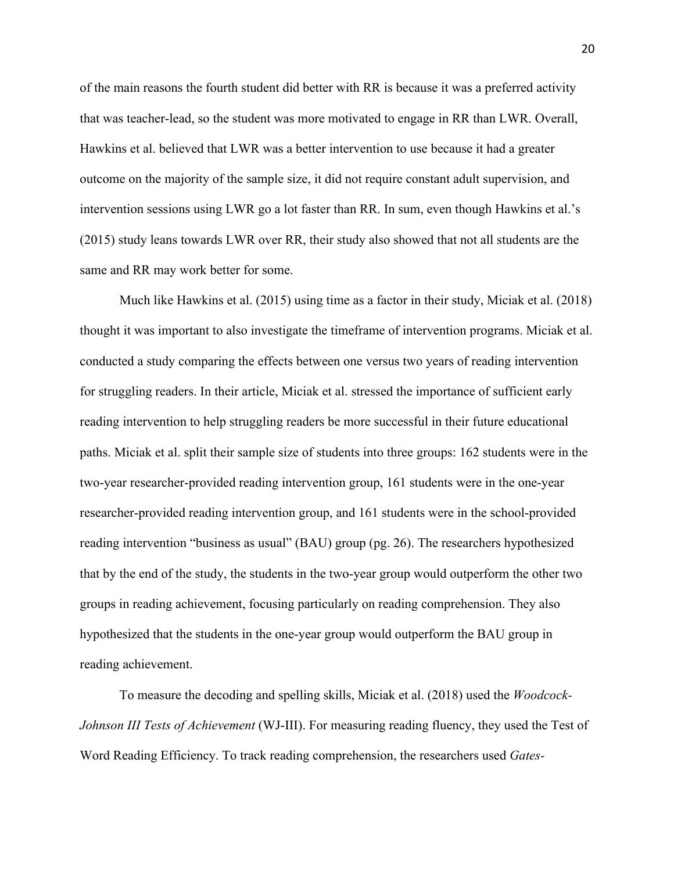of the main reasons the fourth student did better with RR is because it was a preferred activity that was teacher-lead, so the student was more motivated to engage in RR than LWR. Overall, Hawkins et al. believed that LWR was a better intervention to use because it had a greater outcome on the majority of the sample size, it did not require constant adult supervision, and intervention sessions using LWR go a lot faster than RR. In sum, even though Hawkins et al.'s (2015) study leans towards LWR over RR, their study also showed that not all students are the same and RR may work better for some.

Much like Hawkins et al. (2015) using time as a factor in their study, Miciak et al. (2018) thought it was important to also investigate the timeframe of intervention programs. Miciak et al. conducted a study comparing the effects between one versus two years of reading intervention for struggling readers. In their article, Miciak et al. stressed the importance of sufficient early reading intervention to help struggling readers be more successful in their future educational paths. Miciak et al. split their sample size of students into three groups: 162 students were in the two-year researcher-provided reading intervention group, 161 students were in the one-year researcher-provided reading intervention group, and 161 students were in the school-provided reading intervention "business as usual" (BAU) group (pg. 26). The researchers hypothesized that by the end of the study, the students in the two-year group would outperform the other two groups in reading achievement, focusing particularly on reading comprehension. They also hypothesized that the students in the one-year group would outperform the BAU group in reading achievement.

To measure the decoding and spelling skills, Miciak et al. (2018) used the *Woodcock-Johnson III Tests of Achievement* (WJ-III). For measuring reading fluency, they used the Test of Word Reading Efficiency. To track reading comprehension, the researchers used *Gates-*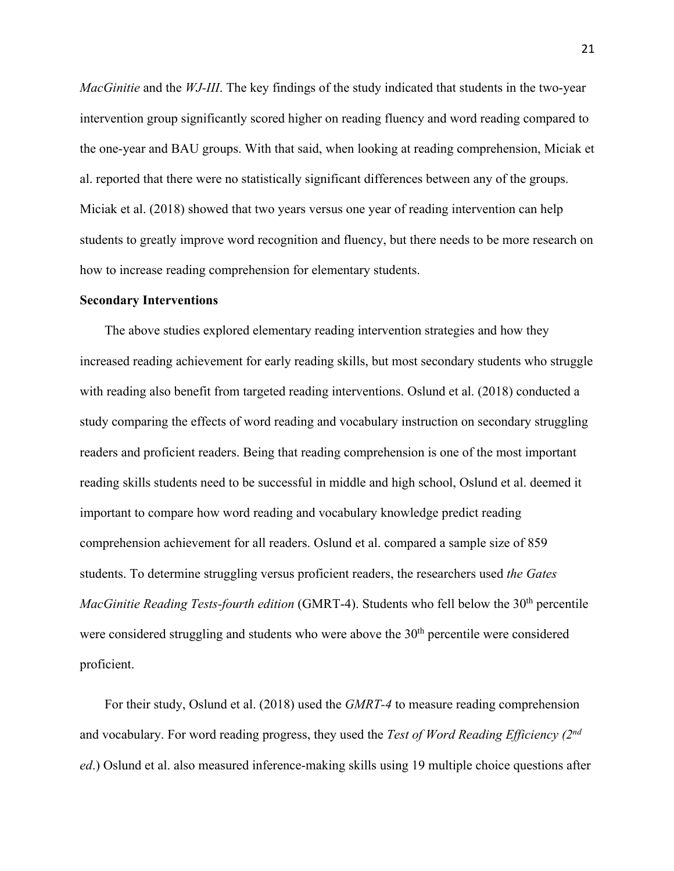*MacGinitie* and the *WJ-III*. The key findings of the study indicated that students in the two-year intervention group significantly scored higher on reading fluency and word reading compared to the one-year and BAU groups. With that said, when looking at reading comprehension, Miciak et al. reported that there were no statistically significant differences between any of the groups. Miciak et al. (2018) showed that two years versus one year of reading intervention can help students to greatly improve word recognition and fluency, but there needs to be more research on how to increase reading comprehension for elementary students.

#### **Secondary Interventions**

The above studies explored elementary reading intervention strategies and how they increased reading achievement for early reading skills, but most secondary students who struggle with reading also benefit from targeted reading interventions. Oslund et al. (2018) conducted a study comparing the effects of word reading and vocabulary instruction on secondary struggling readers and proficient readers. Being that reading comprehension is one of the most important reading skills students need to be successful in middle and high school, Oslund et al. deemed it important to compare how word reading and vocabulary knowledge predict reading comprehension achievement for all readers. Oslund et al. compared a sample size of 859 students. To determine struggling versus proficient readers, the researchers used *the Gates MacGinitie Reading Tests-fourth edition* (GMRT-4). Students who fell below the 30<sup>th</sup> percentile were considered struggling and students who were above the 30<sup>th</sup> percentile were considered proficient.

For their study, Oslund et al. (2018) used the *GMRT-4* to measure reading comprehension and vocabulary. For word reading progress, they used the *Test of Word Reading Efficiency (2nd ed*.) Oslund et al. also measured inference-making skills using 19 multiple choice questions after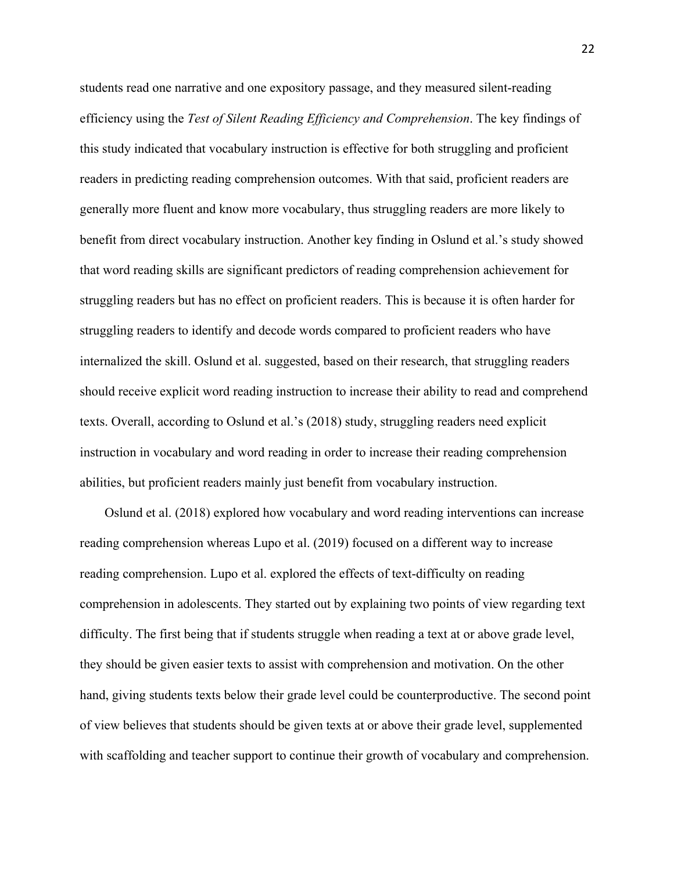students read one narrative and one expository passage, and they measured silent-reading efficiency using the *Test of Silent Reading Efficiency and Comprehension*. The key findings of this study indicated that vocabulary instruction is effective for both struggling and proficient readers in predicting reading comprehension outcomes. With that said, proficient readers are generally more fluent and know more vocabulary, thus struggling readers are more likely to benefit from direct vocabulary instruction. Another key finding in Oslund et al.'s study showed that word reading skills are significant predictors of reading comprehension achievement for struggling readers but has no effect on proficient readers. This is because it is often harder for struggling readers to identify and decode words compared to proficient readers who have internalized the skill. Oslund et al. suggested, based on their research, that struggling readers should receive explicit word reading instruction to increase their ability to read and comprehend texts. Overall, according to Oslund et al.'s (2018) study, struggling readers need explicit instruction in vocabulary and word reading in order to increase their reading comprehension abilities, but proficient readers mainly just benefit from vocabulary instruction.

Oslund et al. (2018) explored how vocabulary and word reading interventions can increase reading comprehension whereas Lupo et al. (2019) focused on a different way to increase reading comprehension. Lupo et al. explored the effects of text-difficulty on reading comprehension in adolescents. They started out by explaining two points of view regarding text difficulty. The first being that if students struggle when reading a text at or above grade level, they should be given easier texts to assist with comprehension and motivation. On the other hand, giving students texts below their grade level could be counterproductive. The second point of view believes that students should be given texts at or above their grade level, supplemented with scaffolding and teacher support to continue their growth of vocabulary and comprehension.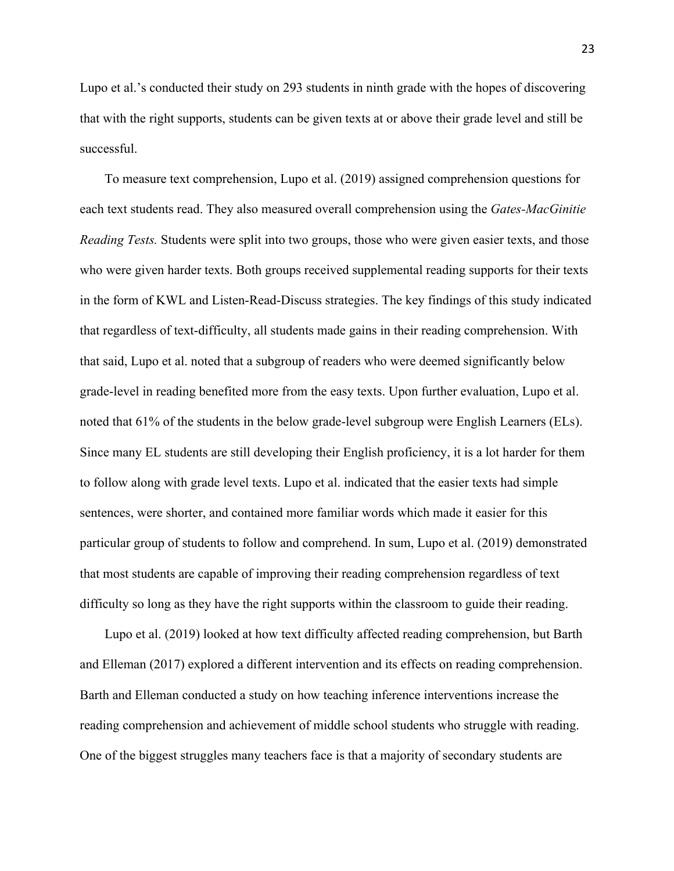Lupo et al.'s conducted their study on 293 students in ninth grade with the hopes of discovering that with the right supports, students can be given texts at or above their grade level and still be successful.

To measure text comprehension, Lupo et al. (2019) assigned comprehension questions for each text students read. They also measured overall comprehension using the *Gates-MacGinitie Reading Tests.* Students were split into two groups, those who were given easier texts, and those who were given harder texts. Both groups received supplemental reading supports for their texts in the form of KWL and Listen-Read-Discuss strategies. The key findings of this study indicated that regardless of text-difficulty, all students made gains in their reading comprehension. With that said, Lupo et al. noted that a subgroup of readers who were deemed significantly below grade-level in reading benefited more from the easy texts. Upon further evaluation, Lupo et al. noted that 61% of the students in the below grade-level subgroup were English Learners (ELs). Since many EL students are still developing their English proficiency, it is a lot harder for them to follow along with grade level texts. Lupo et al. indicated that the easier texts had simple sentences, were shorter, and contained more familiar words which made it easier for this particular group of students to follow and comprehend. In sum, Lupo et al. (2019) demonstrated that most students are capable of improving their reading comprehension regardless of text difficulty so long as they have the right supports within the classroom to guide their reading.

Lupo et al. (2019) looked at how text difficulty affected reading comprehension, but Barth and Elleman (2017) explored a different intervention and its effects on reading comprehension. Barth and Elleman conducted a study on how teaching inference interventions increase the reading comprehension and achievement of middle school students who struggle with reading. One of the biggest struggles many teachers face is that a majority of secondary students are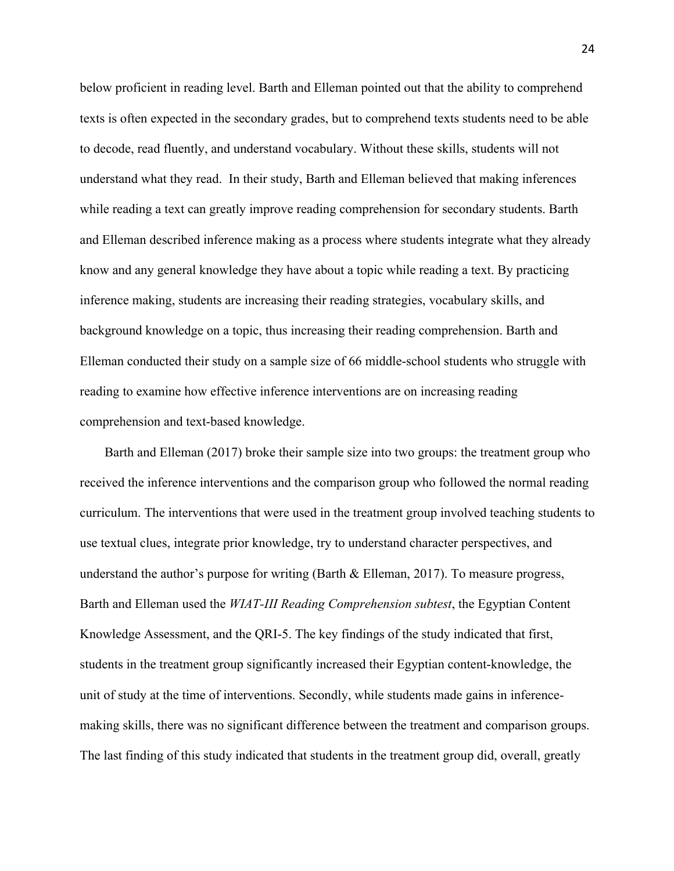below proficient in reading level. Barth and Elleman pointed out that the ability to comprehend texts is often expected in the secondary grades, but to comprehend texts students need to be able to decode, read fluently, and understand vocabulary. Without these skills, students will not understand what they read. In their study, Barth and Elleman believed that making inferences while reading a text can greatly improve reading comprehension for secondary students. Barth and Elleman described inference making as a process where students integrate what they already know and any general knowledge they have about a topic while reading a text. By practicing inference making, students are increasing their reading strategies, vocabulary skills, and background knowledge on a topic, thus increasing their reading comprehension. Barth and Elleman conducted their study on a sample size of 66 middle-school students who struggle with reading to examine how effective inference interventions are on increasing reading comprehension and text-based knowledge.

Barth and Elleman (2017) broke their sample size into two groups: the treatment group who received the inference interventions and the comparison group who followed the normal reading curriculum. The interventions that were used in the treatment group involved teaching students to use textual clues, integrate prior knowledge, try to understand character perspectives, and understand the author's purpose for writing (Barth & Elleman, 2017). To measure progress, Barth and Elleman used the *WIAT-III Reading Comprehension subtest*, the Egyptian Content Knowledge Assessment, and the QRI-5. The key findings of the study indicated that first, students in the treatment group significantly increased their Egyptian content-knowledge, the unit of study at the time of interventions. Secondly, while students made gains in inferencemaking skills, there was no significant difference between the treatment and comparison groups. The last finding of this study indicated that students in the treatment group did, overall, greatly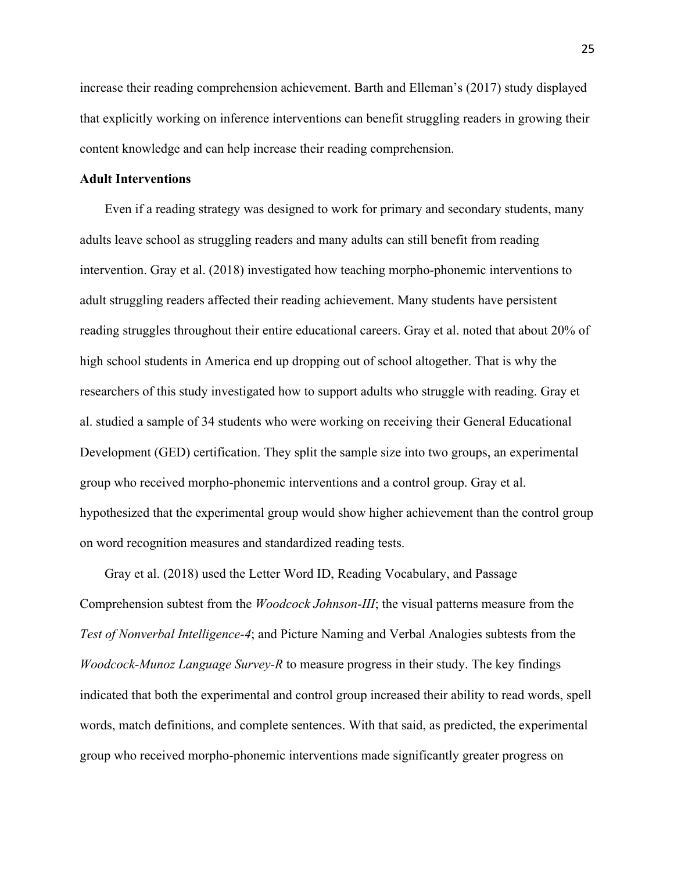increase their reading comprehension achievement. Barth and Elleman's (2017) study displayed that explicitly working on inference interventions can benefit struggling readers in growing their content knowledge and can help increase their reading comprehension.

# **Adult Interventions**

Even if a reading strategy was designed to work for primary and secondary students, many adults leave school as struggling readers and many adults can still benefit from reading intervention. Gray et al. (2018) investigated how teaching morpho-phonemic interventions to adult struggling readers affected their reading achievement. Many students have persistent reading struggles throughout their entire educational careers. Gray et al. noted that about 20% of high school students in America end up dropping out of school altogether. That is why the researchers of this study investigated how to support adults who struggle with reading. Gray et al. studied a sample of 34 students who were working on receiving their General Educational Development (GED) certification. They split the sample size into two groups, an experimental group who received morpho-phonemic interventions and a control group. Gray et al. hypothesized that the experimental group would show higher achievement than the control group on word recognition measures and standardized reading tests.

Gray et al. (2018) used the Letter Word ID, Reading Vocabulary, and Passage Comprehension subtest from the *Woodcock Johnson-III*; the visual patterns measure from the *Test of Nonverbal Intelligence-4*; and Picture Naming and Verbal Analogies subtests from the *Woodcock-Munoz Language Survey-R* to measure progress in their study. The key findings indicated that both the experimental and control group increased their ability to read words, spell words, match definitions, and complete sentences. With that said, as predicted, the experimental group who received morpho-phonemic interventions made significantly greater progress on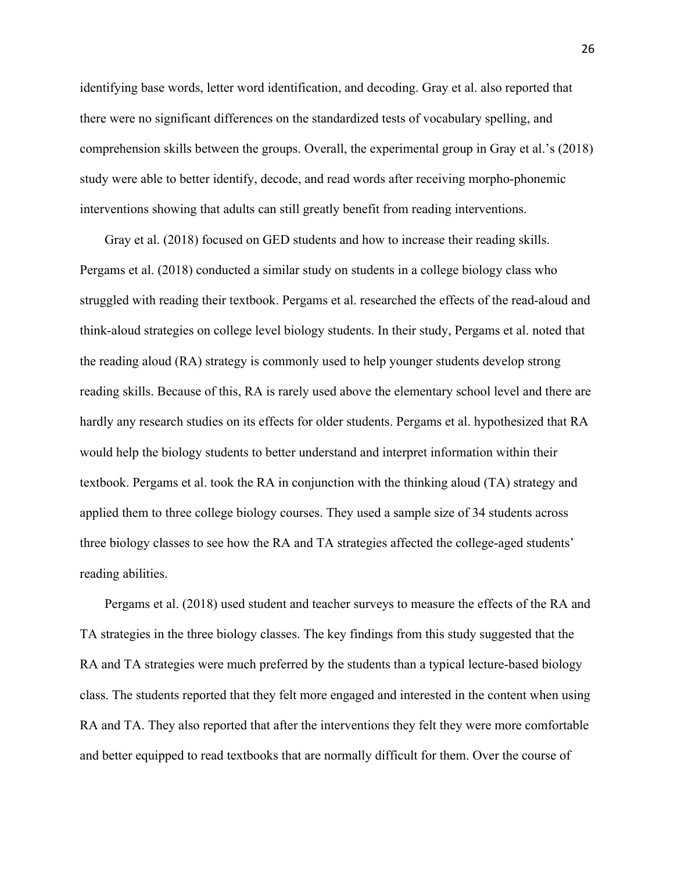identifying base words, letter word identification, and decoding. Gray et al. also reported that there were no significant differences on the standardized tests of vocabulary spelling, and comprehension skills between the groups. Overall, the experimental group in Gray et al.'s (2018) study were able to better identify, decode, and read words after receiving morpho-phonemic interventions showing that adults can still greatly benefit from reading interventions.

Gray et al. (2018) focused on GED students and how to increase their reading skills. Pergams et al. (2018) conducted a similar study on students in a college biology class who struggled with reading their textbook. Pergams et al. researched the effects of the read-aloud and think-aloud strategies on college level biology students. In their study, Pergams et al. noted that the reading aloud (RA) strategy is commonly used to help younger students develop strong reading skills. Because of this, RA is rarely used above the elementary school level and there are hardly any research studies on its effects for older students. Pergams et al. hypothesized that RA would help the biology students to better understand and interpret information within their textbook. Pergams et al. took the RA in conjunction with the thinking aloud (TA) strategy and applied them to three college biology courses. They used a sample size of 34 students across three biology classes to see how the RA and TA strategies affected the college-aged students' reading abilities.

Pergams et al. (2018) used student and teacher surveys to measure the effects of the RA and TA strategies in the three biology classes. The key findings from this study suggested that the RA and TA strategies were much preferred by the students than a typical lecture-based biology class. The students reported that they felt more engaged and interested in the content when using RA and TA. They also reported that after the interventions they felt they were more comfortable and better equipped to read textbooks that are normally difficult for them. Over the course of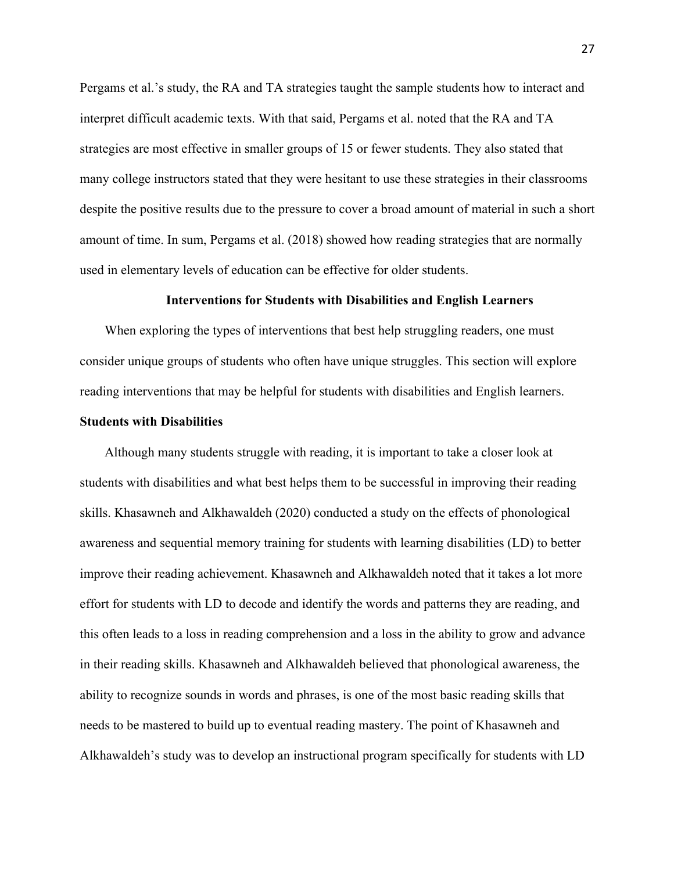Pergams et al.'s study, the RA and TA strategies taught the sample students how to interact and interpret difficult academic texts. With that said, Pergams et al. noted that the RA and TA strategies are most effective in smaller groups of 15 or fewer students. They also stated that many college instructors stated that they were hesitant to use these strategies in their classrooms despite the positive results due to the pressure to cover a broad amount of material in such a short amount of time. In sum, Pergams et al. (2018) showed how reading strategies that are normally used in elementary levels of education can be effective for older students.

#### **Interventions for Students with Disabilities and English Learners**

When exploring the types of interventions that best help struggling readers, one must consider unique groups of students who often have unique struggles. This section will explore reading interventions that may be helpful for students with disabilities and English learners.

# **Students with Disabilities**

Although many students struggle with reading, it is important to take a closer look at students with disabilities and what best helps them to be successful in improving their reading skills. Khasawneh and Alkhawaldeh (2020) conducted a study on the effects of phonological awareness and sequential memory training for students with learning disabilities (LD) to better improve their reading achievement. Khasawneh and Alkhawaldeh noted that it takes a lot more effort for students with LD to decode and identify the words and patterns they are reading, and this often leads to a loss in reading comprehension and a loss in the ability to grow and advance in their reading skills. Khasawneh and Alkhawaldeh believed that phonological awareness, the ability to recognize sounds in words and phrases, is one of the most basic reading skills that needs to be mastered to build up to eventual reading mastery. The point of Khasawneh and Alkhawaldeh's study was to develop an instructional program specifically for students with LD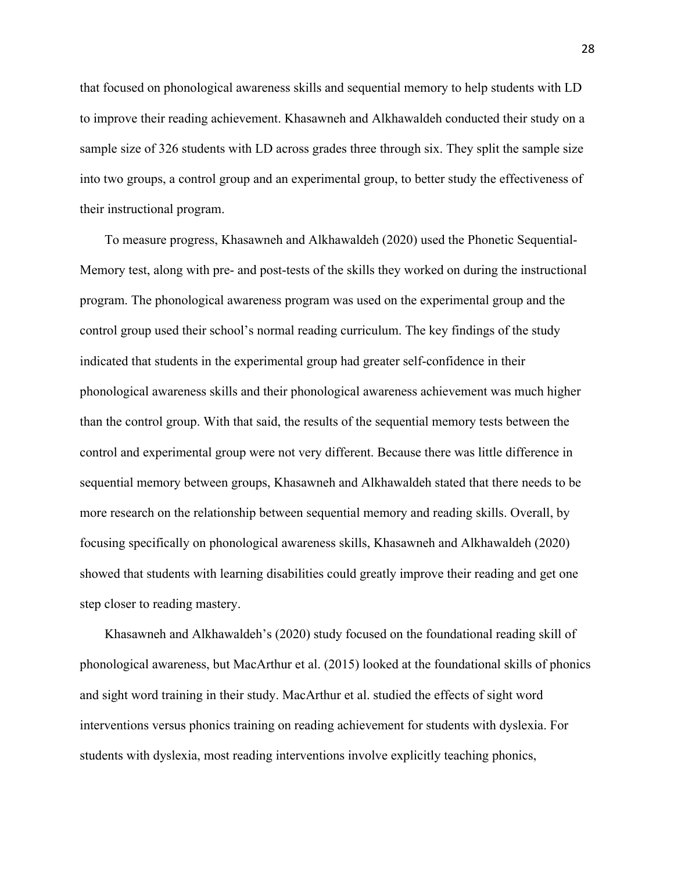that focused on phonological awareness skills and sequential memory to help students with LD to improve their reading achievement. Khasawneh and Alkhawaldeh conducted their study on a sample size of 326 students with LD across grades three through six. They split the sample size into two groups, a control group and an experimental group, to better study the effectiveness of their instructional program.

To measure progress, Khasawneh and Alkhawaldeh (2020) used the Phonetic Sequential-Memory test, along with pre- and post-tests of the skills they worked on during the instructional program. The phonological awareness program was used on the experimental group and the control group used their school's normal reading curriculum. The key findings of the study indicated that students in the experimental group had greater self-confidence in their phonological awareness skills and their phonological awareness achievement was much higher than the control group. With that said, the results of the sequential memory tests between the control and experimental group were not very different. Because there was little difference in sequential memory between groups, Khasawneh and Alkhawaldeh stated that there needs to be more research on the relationship between sequential memory and reading skills. Overall, by focusing specifically on phonological awareness skills, Khasawneh and Alkhawaldeh (2020) showed that students with learning disabilities could greatly improve their reading and get one step closer to reading mastery.

Khasawneh and Alkhawaldeh's (2020) study focused on the foundational reading skill of phonological awareness, but MacArthur et al. (2015) looked at the foundational skills of phonics and sight word training in their study. MacArthur et al. studied the effects of sight word interventions versus phonics training on reading achievement for students with dyslexia. For students with dyslexia, most reading interventions involve explicitly teaching phonics,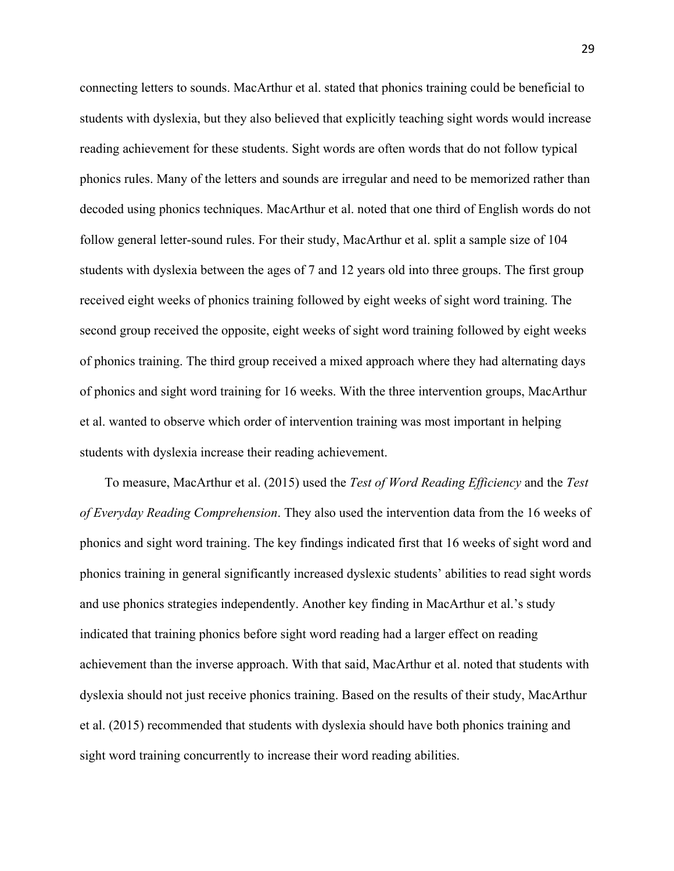connecting letters to sounds. MacArthur et al. stated that phonics training could be beneficial to students with dyslexia, but they also believed that explicitly teaching sight words would increase reading achievement for these students. Sight words are often words that do not follow typical phonics rules. Many of the letters and sounds are irregular and need to be memorized rather than decoded using phonics techniques. MacArthur et al. noted that one third of English words do not follow general letter-sound rules. For their study, MacArthur et al. split a sample size of 104 students with dyslexia between the ages of 7 and 12 years old into three groups. The first group received eight weeks of phonics training followed by eight weeks of sight word training. The second group received the opposite, eight weeks of sight word training followed by eight weeks of phonics training. The third group received a mixed approach where they had alternating days of phonics and sight word training for 16 weeks. With the three intervention groups, MacArthur et al. wanted to observe which order of intervention training was most important in helping students with dyslexia increase their reading achievement.

To measure, MacArthur et al. (2015) used the *Test of Word Reading Efficiency* and the *Test of Everyday Reading Comprehension*. They also used the intervention data from the 16 weeks of phonics and sight word training. The key findings indicated first that 16 weeks of sight word and phonics training in general significantly increased dyslexic students' abilities to read sight words and use phonics strategies independently. Another key finding in MacArthur et al.'s study indicated that training phonics before sight word reading had a larger effect on reading achievement than the inverse approach. With that said, MacArthur et al. noted that students with dyslexia should not just receive phonics training. Based on the results of their study, MacArthur et al. (2015) recommended that students with dyslexia should have both phonics training and sight word training concurrently to increase their word reading abilities.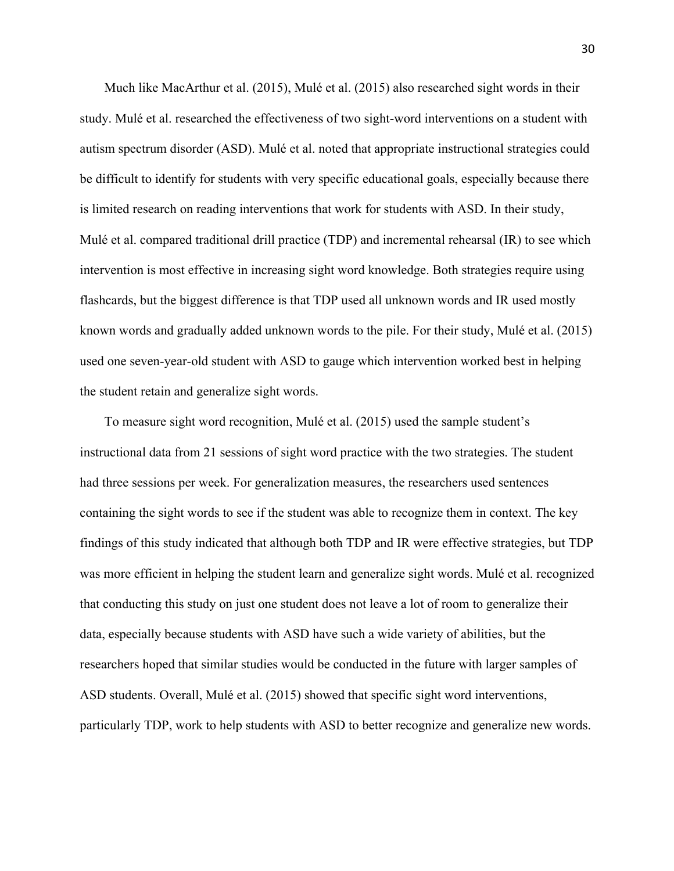Much like MacArthur et al. (2015), Mulé et al. (2015) also researched sight words in their study. Mulé et al. researched the effectiveness of two sight-word interventions on a student with autism spectrum disorder (ASD). Mulé et al. noted that appropriate instructional strategies could be difficult to identify for students with very specific educational goals, especially because there is limited research on reading interventions that work for students with ASD. In their study, Mulé et al. compared traditional drill practice (TDP) and incremental rehearsal (IR) to see which intervention is most effective in increasing sight word knowledge. Both strategies require using flashcards, but the biggest difference is that TDP used all unknown words and IR used mostly known words and gradually added unknown words to the pile. For their study, Mulé et al. (2015) used one seven-year-old student with ASD to gauge which intervention worked best in helping the student retain and generalize sight words.

To measure sight word recognition, Mulé et al. (2015) used the sample student's instructional data from 21 sessions of sight word practice with the two strategies. The student had three sessions per week. For generalization measures, the researchers used sentences containing the sight words to see if the student was able to recognize them in context. The key findings of this study indicated that although both TDP and IR were effective strategies, but TDP was more efficient in helping the student learn and generalize sight words. Mulé et al. recognized that conducting this study on just one student does not leave a lot of room to generalize their data, especially because students with ASD have such a wide variety of abilities, but the researchers hoped that similar studies would be conducted in the future with larger samples of ASD students. Overall, Mulé et al. (2015) showed that specific sight word interventions, particularly TDP, work to help students with ASD to better recognize and generalize new words.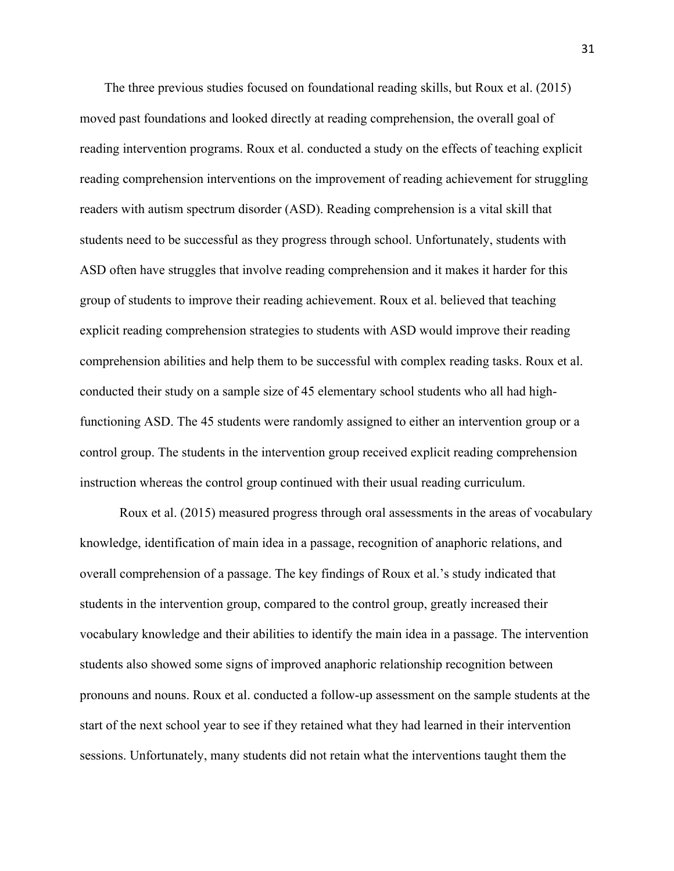The three previous studies focused on foundational reading skills, but Roux et al. (2015) moved past foundations and looked directly at reading comprehension, the overall goal of reading intervention programs. Roux et al. conducted a study on the effects of teaching explicit reading comprehension interventions on the improvement of reading achievement for struggling readers with autism spectrum disorder (ASD). Reading comprehension is a vital skill that students need to be successful as they progress through school. Unfortunately, students with ASD often have struggles that involve reading comprehension and it makes it harder for this group of students to improve their reading achievement. Roux et al. believed that teaching explicit reading comprehension strategies to students with ASD would improve their reading comprehension abilities and help them to be successful with complex reading tasks. Roux et al. conducted their study on a sample size of 45 elementary school students who all had highfunctioning ASD. The 45 students were randomly assigned to either an intervention group or a control group. The students in the intervention group received explicit reading comprehension instruction whereas the control group continued with their usual reading curriculum.

Roux et al. (2015) measured progress through oral assessments in the areas of vocabulary knowledge, identification of main idea in a passage, recognition of anaphoric relations, and overall comprehension of a passage. The key findings of Roux et al.'s study indicated that students in the intervention group, compared to the control group, greatly increased their vocabulary knowledge and their abilities to identify the main idea in a passage. The intervention students also showed some signs of improved anaphoric relationship recognition between pronouns and nouns. Roux et al. conducted a follow-up assessment on the sample students at the start of the next school year to see if they retained what they had learned in their intervention sessions. Unfortunately, many students did not retain what the interventions taught them the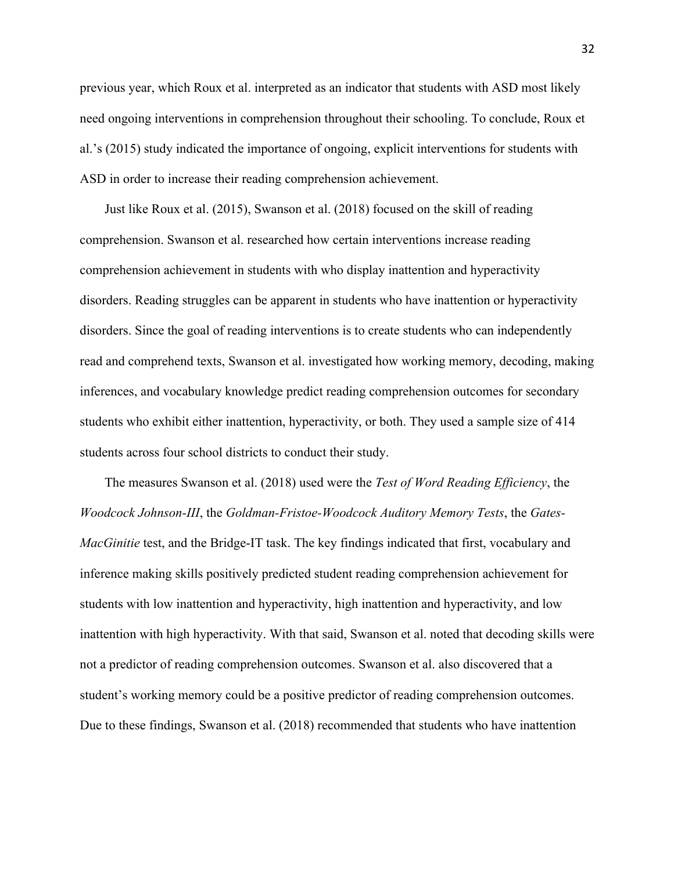previous year, which Roux et al. interpreted as an indicator that students with ASD most likely need ongoing interventions in comprehension throughout their schooling. To conclude, Roux et al.'s (2015) study indicated the importance of ongoing, explicit interventions for students with ASD in order to increase their reading comprehension achievement.

Just like Roux et al. (2015), Swanson et al. (2018) focused on the skill of reading comprehension. Swanson et al. researched how certain interventions increase reading comprehension achievement in students with who display inattention and hyperactivity disorders. Reading struggles can be apparent in students who have inattention or hyperactivity disorders. Since the goal of reading interventions is to create students who can independently read and comprehend texts, Swanson et al. investigated how working memory, decoding, making inferences, and vocabulary knowledge predict reading comprehension outcomes for secondary students who exhibit either inattention, hyperactivity, or both. They used a sample size of 414 students across four school districts to conduct their study.

The measures Swanson et al. (2018) used were the *Test of Word Reading Efficiency*, the *Woodcock Johnson-III*, the *Goldman-Fristoe-Woodcock Auditory Memory Tests*, the *Gates-MacGinitie* test, and the Bridge-IT task. The key findings indicated that first, vocabulary and inference making skills positively predicted student reading comprehension achievement for students with low inattention and hyperactivity, high inattention and hyperactivity, and low inattention with high hyperactivity. With that said, Swanson et al. noted that decoding skills were not a predictor of reading comprehension outcomes. Swanson et al. also discovered that a student's working memory could be a positive predictor of reading comprehension outcomes. Due to these findings, Swanson et al. (2018) recommended that students who have inattention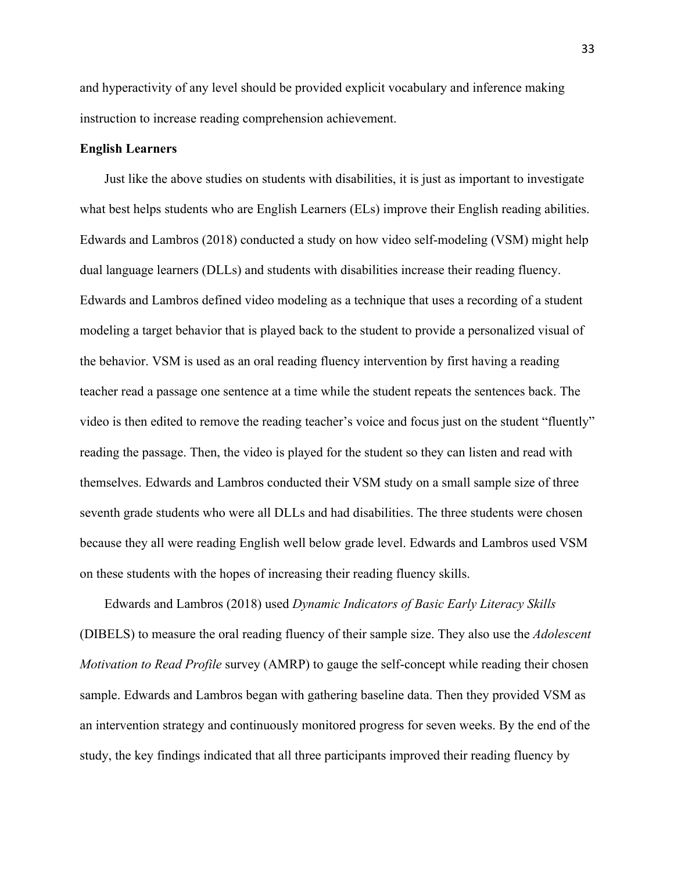and hyperactivity of any level should be provided explicit vocabulary and inference making instruction to increase reading comprehension achievement.

#### **English Learners**

Just like the above studies on students with disabilities, it is just as important to investigate what best helps students who are English Learners (ELs) improve their English reading abilities. Edwards and Lambros (2018) conducted a study on how video self-modeling (VSM) might help dual language learners (DLLs) and students with disabilities increase their reading fluency. Edwards and Lambros defined video modeling as a technique that uses a recording of a student modeling a target behavior that is played back to the student to provide a personalized visual of the behavior. VSM is used as an oral reading fluency intervention by first having a reading teacher read a passage one sentence at a time while the student repeats the sentences back. The video is then edited to remove the reading teacher's voice and focus just on the student "fluently" reading the passage. Then, the video is played for the student so they can listen and read with themselves. Edwards and Lambros conducted their VSM study on a small sample size of three seventh grade students who were all DLLs and had disabilities. The three students were chosen because they all were reading English well below grade level. Edwards and Lambros used VSM on these students with the hopes of increasing their reading fluency skills.

Edwards and Lambros (2018) used *Dynamic Indicators of Basic Early Literacy Skills* (DIBELS) to measure the oral reading fluency of their sample size. They also use the *Adolescent Motivation to Read Profile* survey (AMRP) to gauge the self-concept while reading their chosen sample. Edwards and Lambros began with gathering baseline data. Then they provided VSM as an intervention strategy and continuously monitored progress for seven weeks. By the end of the study, the key findings indicated that all three participants improved their reading fluency by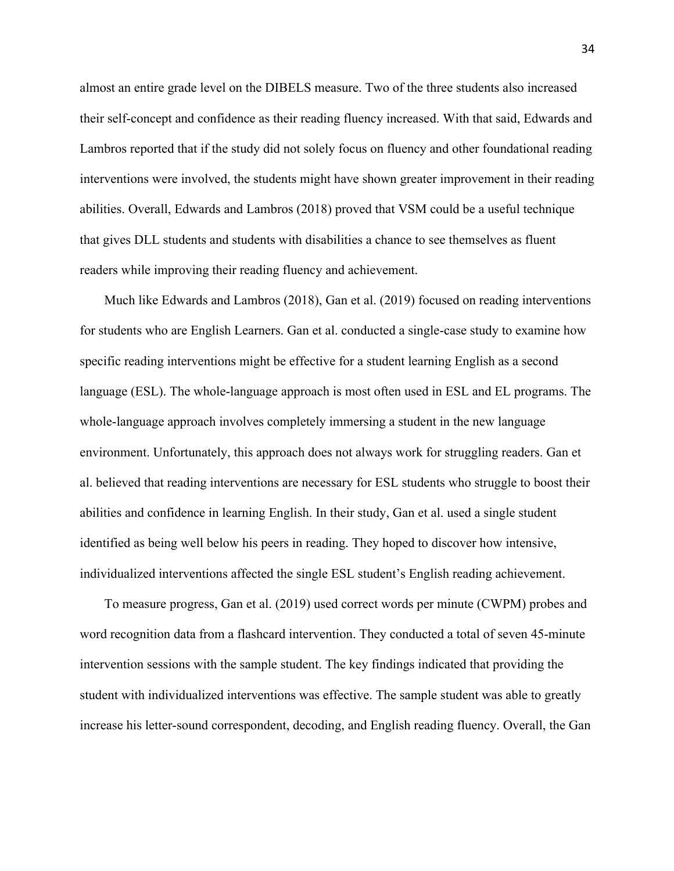almost an entire grade level on the DIBELS measure. Two of the three students also increased their self-concept and confidence as their reading fluency increased. With that said, Edwards and Lambros reported that if the study did not solely focus on fluency and other foundational reading interventions were involved, the students might have shown greater improvement in their reading abilities. Overall, Edwards and Lambros (2018) proved that VSM could be a useful technique that gives DLL students and students with disabilities a chance to see themselves as fluent readers while improving their reading fluency and achievement.

Much like Edwards and Lambros (2018), Gan et al. (2019) focused on reading interventions for students who are English Learners. Gan et al. conducted a single-case study to examine how specific reading interventions might be effective for a student learning English as a second language (ESL). The whole-language approach is most often used in ESL and EL programs. The whole-language approach involves completely immersing a student in the new language environment. Unfortunately, this approach does not always work for struggling readers. Gan et al. believed that reading interventions are necessary for ESL students who struggle to boost their abilities and confidence in learning English. In their study, Gan et al. used a single student identified as being well below his peers in reading. They hoped to discover how intensive, individualized interventions affected the single ESL student's English reading achievement.

To measure progress, Gan et al. (2019) used correct words per minute (CWPM) probes and word recognition data from a flashcard intervention. They conducted a total of seven 45-minute intervention sessions with the sample student. The key findings indicated that providing the student with individualized interventions was effective. The sample student was able to greatly increase his letter-sound correspondent, decoding, and English reading fluency. Overall, the Gan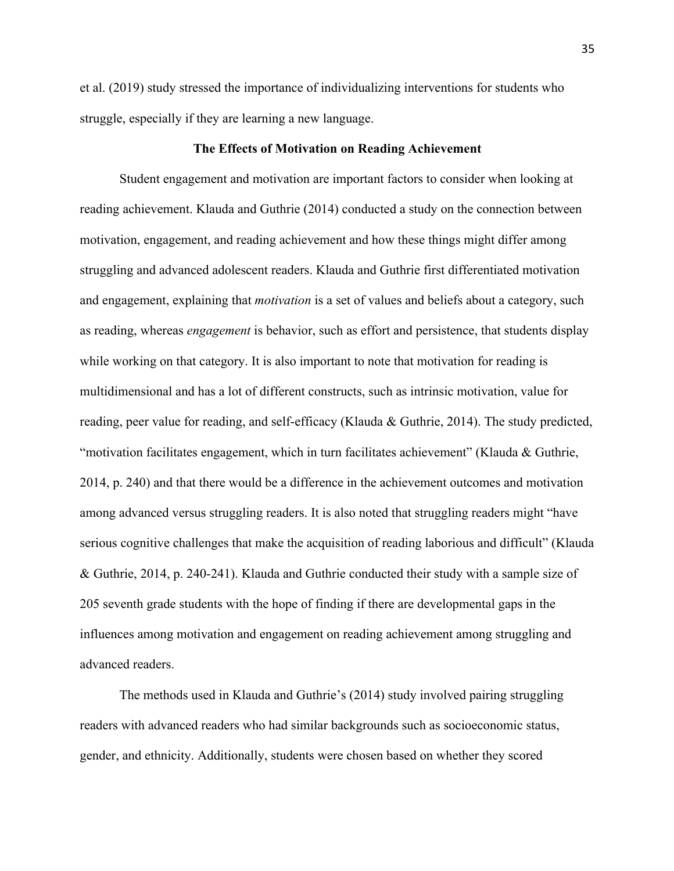et al. (2019) study stressed the importance of individualizing interventions for students who struggle, especially if they are learning a new language.

#### **The Effects of Motivation on Reading Achievement**

Student engagement and motivation are important factors to consider when looking at reading achievement. Klauda and Guthrie (2014) conducted a study on the connection between motivation, engagement, and reading achievement and how these things might differ among struggling and advanced adolescent readers. Klauda and Guthrie first differentiated motivation and engagement, explaining that *motivation* is a set of values and beliefs about a category, such as reading, whereas *engagement* is behavior, such as effort and persistence, that students display while working on that category. It is also important to note that motivation for reading is multidimensional and has a lot of different constructs, such as intrinsic motivation, value for reading, peer value for reading, and self-efficacy (Klauda & Guthrie, 2014). The study predicted, "motivation facilitates engagement, which in turn facilitates achievement" (Klauda & Guthrie, 2014, p. 240) and that there would be a difference in the achievement outcomes and motivation among advanced versus struggling readers. It is also noted that struggling readers might "have serious cognitive challenges that make the acquisition of reading laborious and difficult" (Klauda & Guthrie, 2014, p. 240-241). Klauda and Guthrie conducted their study with a sample size of 205 seventh grade students with the hope of finding if there are developmental gaps in the influences among motivation and engagement on reading achievement among struggling and advanced readers.

The methods used in Klauda and Guthrie's (2014) study involved pairing struggling readers with advanced readers who had similar backgrounds such as socioeconomic status, gender, and ethnicity. Additionally, students were chosen based on whether they scored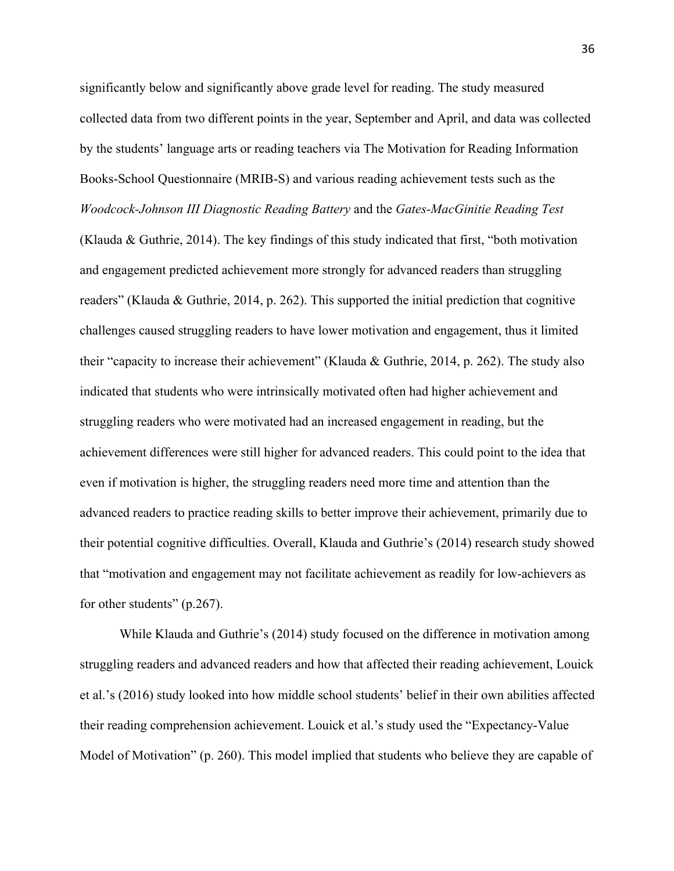significantly below and significantly above grade level for reading. The study measured collected data from two different points in the year, September and April, and data was collected by the students' language arts or reading teachers via The Motivation for Reading Information Books-School Questionnaire (MRIB-S) and various reading achievement tests such as the *Woodcock-Johnson III Diagnostic Reading Battery* and the *Gates-MacGinitie Reading Test*

(Klauda & Guthrie, 2014). The key findings of this study indicated that first, "both motivation and engagement predicted achievement more strongly for advanced readers than struggling readers" (Klauda & Guthrie, 2014, p. 262). This supported the initial prediction that cognitive challenges caused struggling readers to have lower motivation and engagement, thus it limited their "capacity to increase their achievement" (Klauda & Guthrie, 2014, p. 262). The study also indicated that students who were intrinsically motivated often had higher achievement and struggling readers who were motivated had an increased engagement in reading, but the achievement differences were still higher for advanced readers. This could point to the idea that even if motivation is higher, the struggling readers need more time and attention than the advanced readers to practice reading skills to better improve their achievement, primarily due to their potential cognitive difficulties. Overall, Klauda and Guthrie's (2014) research study showed that "motivation and engagement may not facilitate achievement as readily for low-achievers as for other students" (p.267).

While Klauda and Guthrie's (2014) study focused on the difference in motivation among struggling readers and advanced readers and how that affected their reading achievement, Louick et al.'s (2016) study looked into how middle school students' belief in their own abilities affected their reading comprehension achievement. Louick et al.'s study used the "Expectancy-Value Model of Motivation" (p. 260). This model implied that students who believe they are capable of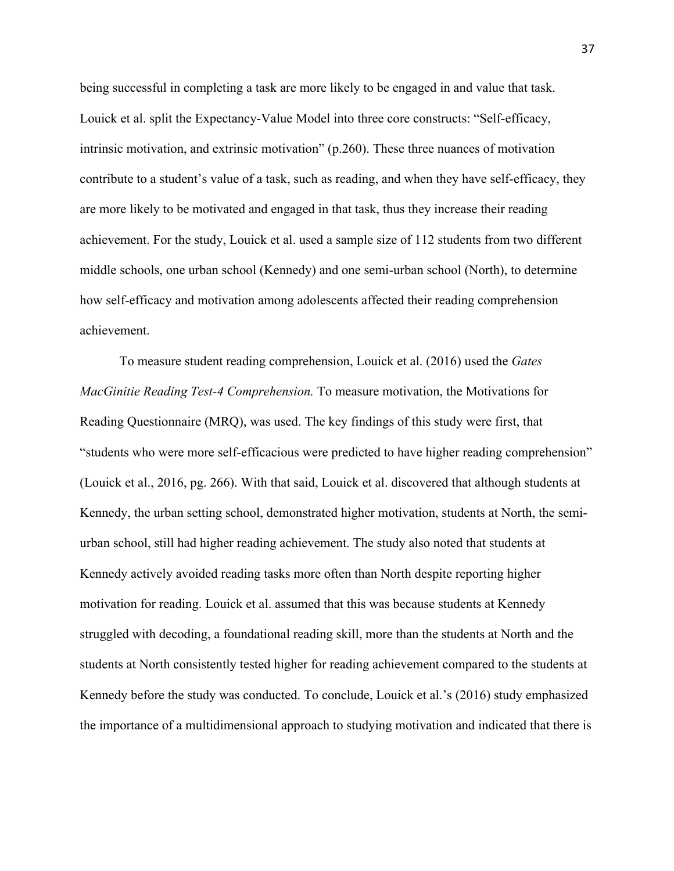being successful in completing a task are more likely to be engaged in and value that task. Louick et al. split the Expectancy-Value Model into three core constructs: "Self-efficacy, intrinsic motivation, and extrinsic motivation" (p.260). These three nuances of motivation contribute to a student's value of a task, such as reading, and when they have self-efficacy, they are more likely to be motivated and engaged in that task, thus they increase their reading achievement. For the study, Louick et al. used a sample size of 112 students from two different middle schools, one urban school (Kennedy) and one semi-urban school (North), to determine how self-efficacy and motivation among adolescents affected their reading comprehension achievement.

To measure student reading comprehension, Louick et al. (2016) used the *Gates MacGinitie Reading Test-4 Comprehension.* To measure motivation, the Motivations for Reading Questionnaire (MRQ), was used. The key findings of this study were first, that "students who were more self-efficacious were predicted to have higher reading comprehension" (Louick et al., 2016, pg. 266). With that said, Louick et al. discovered that although students at Kennedy, the urban setting school, demonstrated higher motivation, students at North, the semiurban school, still had higher reading achievement. The study also noted that students at Kennedy actively avoided reading tasks more often than North despite reporting higher motivation for reading. Louick et al. assumed that this was because students at Kennedy struggled with decoding, a foundational reading skill, more than the students at North and the students at North consistently tested higher for reading achievement compared to the students at Kennedy before the study was conducted. To conclude, Louick et al.'s (2016) study emphasized the importance of a multidimensional approach to studying motivation and indicated that there is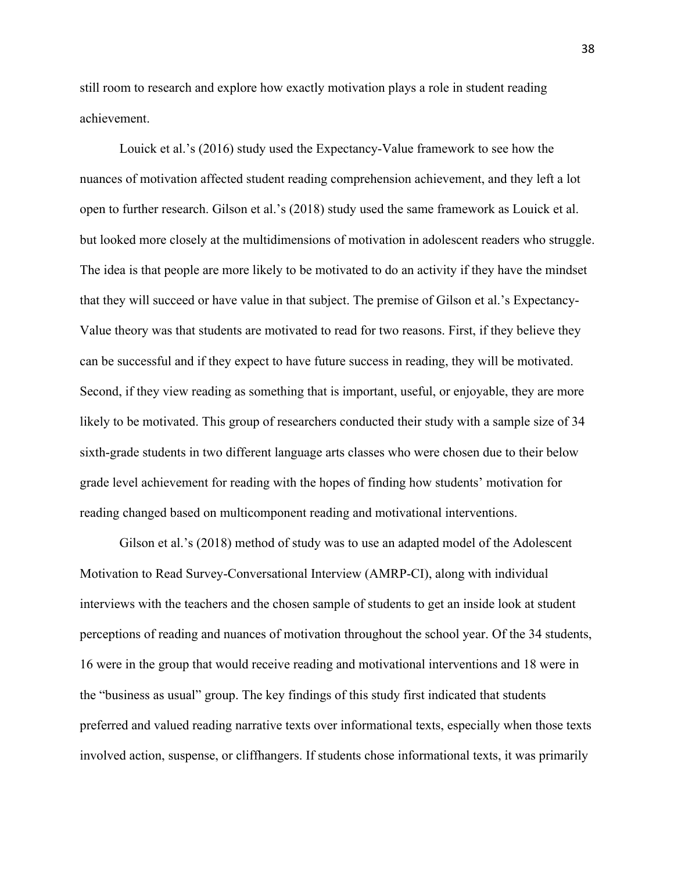still room to research and explore how exactly motivation plays a role in student reading achievement.

Louick et al.'s (2016) study used the Expectancy-Value framework to see how the nuances of motivation affected student reading comprehension achievement, and they left a lot open to further research. Gilson et al.'s (2018) study used the same framework as Louick et al. but looked more closely at the multidimensions of motivation in adolescent readers who struggle. The idea is that people are more likely to be motivated to do an activity if they have the mindset that they will succeed or have value in that subject. The premise of Gilson et al.'s Expectancy-Value theory was that students are motivated to read for two reasons. First, if they believe they can be successful and if they expect to have future success in reading, they will be motivated. Second, if they view reading as something that is important, useful, or enjoyable, they are more likely to be motivated. This group of researchers conducted their study with a sample size of 34 sixth-grade students in two different language arts classes who were chosen due to their below grade level achievement for reading with the hopes of finding how students' motivation for reading changed based on multicomponent reading and motivational interventions.

Gilson et al.'s (2018) method of study was to use an adapted model of the Adolescent Motivation to Read Survey-Conversational Interview (AMRP-CI), along with individual interviews with the teachers and the chosen sample of students to get an inside look at student perceptions of reading and nuances of motivation throughout the school year. Of the 34 students, 16 were in the group that would receive reading and motivational interventions and 18 were in the "business as usual" group. The key findings of this study first indicated that students preferred and valued reading narrative texts over informational texts, especially when those texts involved action, suspense, or cliffhangers. If students chose informational texts, it was primarily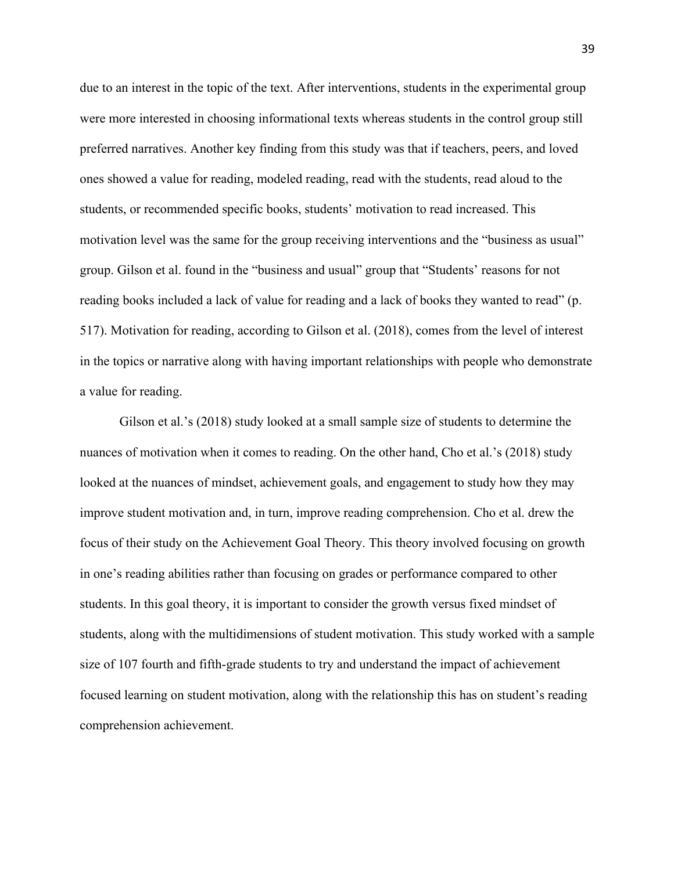due to an interest in the topic of the text. After interventions, students in the experimental group were more interested in choosing informational texts whereas students in the control group still preferred narratives. Another key finding from this study was that if teachers, peers, and loved ones showed a value for reading, modeled reading, read with the students, read aloud to the students, or recommended specific books, students' motivation to read increased. This motivation level was the same for the group receiving interventions and the "business as usual" group. Gilson et al. found in the "business and usual" group that "Students' reasons for not reading books included a lack of value for reading and a lack of books they wanted to read" (p. 517). Motivation for reading, according to Gilson et al. (2018), comes from the level of interest in the topics or narrative along with having important relationships with people who demonstrate a value for reading.

Gilson et al.'s (2018) study looked at a small sample size of students to determine the nuances of motivation when it comes to reading. On the other hand, Cho et al.'s (2018) study looked at the nuances of mindset, achievement goals, and engagement to study how they may improve student motivation and, in turn, improve reading comprehension. Cho et al. drew the focus of their study on the Achievement Goal Theory. This theory involved focusing on growth in one's reading abilities rather than focusing on grades or performance compared to other students. In this goal theory, it is important to consider the growth versus fixed mindset of students, along with the multidimensions of student motivation. This study worked with a sample size of 107 fourth and fifth-grade students to try and understand the impact of achievement focused learning on student motivation, along with the relationship this has on student's reading comprehension achievement.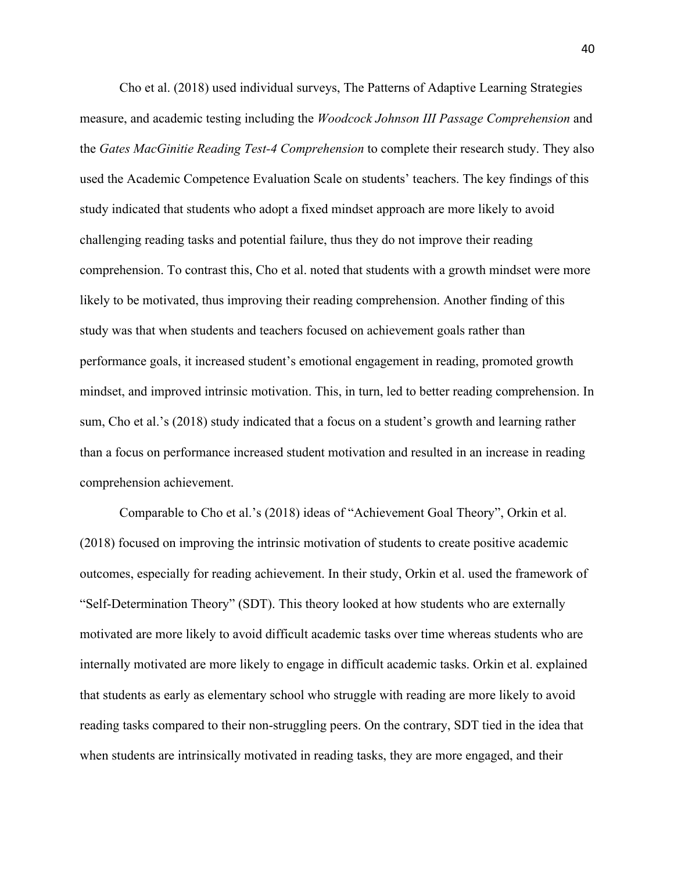Cho et al. (2018) used individual surveys, The Patterns of Adaptive Learning Strategies measure, and academic testing including the *Woodcock Johnson III Passage Comprehension* and the *Gates MacGinitie Reading Test-4 Comprehension* to complete their research study. They also used the Academic Competence Evaluation Scale on students' teachers. The key findings of this study indicated that students who adopt a fixed mindset approach are more likely to avoid challenging reading tasks and potential failure, thus they do not improve their reading comprehension. To contrast this, Cho et al. noted that students with a growth mindset were more likely to be motivated, thus improving their reading comprehension. Another finding of this study was that when students and teachers focused on achievement goals rather than performance goals, it increased student's emotional engagement in reading, promoted growth mindset, and improved intrinsic motivation. This, in turn, led to better reading comprehension. In sum, Cho et al.'s (2018) study indicated that a focus on a student's growth and learning rather than a focus on performance increased student motivation and resulted in an increase in reading comprehension achievement.

Comparable to Cho et al.'s (2018) ideas of "Achievement Goal Theory", Orkin et al. (2018) focused on improving the intrinsic motivation of students to create positive academic outcomes, especially for reading achievement. In their study, Orkin et al. used the framework of "Self-Determination Theory" (SDT). This theory looked at how students who are externally motivated are more likely to avoid difficult academic tasks over time whereas students who are internally motivated are more likely to engage in difficult academic tasks. Orkin et al. explained that students as early as elementary school who struggle with reading are more likely to avoid reading tasks compared to their non-struggling peers. On the contrary, SDT tied in the idea that when students are intrinsically motivated in reading tasks, they are more engaged, and their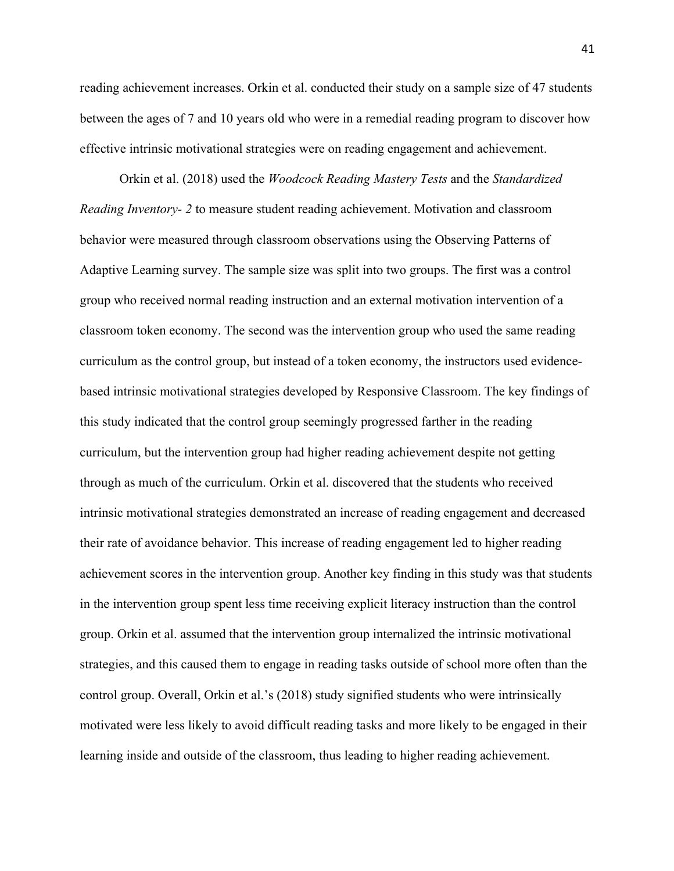reading achievement increases. Orkin et al. conducted their study on a sample size of 47 students between the ages of 7 and 10 years old who were in a remedial reading program to discover how effective intrinsic motivational strategies were on reading engagement and achievement.

Orkin et al. (2018) used the *Woodcock Reading Mastery Tests* and the *Standardized Reading Inventory- 2* to measure student reading achievement. Motivation and classroom behavior were measured through classroom observations using the Observing Patterns of Adaptive Learning survey. The sample size was split into two groups. The first was a control group who received normal reading instruction and an external motivation intervention of a classroom token economy. The second was the intervention group who used the same reading curriculum as the control group, but instead of a token economy, the instructors used evidencebased intrinsic motivational strategies developed by Responsive Classroom. The key findings of this study indicated that the control group seemingly progressed farther in the reading curriculum, but the intervention group had higher reading achievement despite not getting through as much of the curriculum. Orkin et al. discovered that the students who received intrinsic motivational strategies demonstrated an increase of reading engagement and decreased their rate of avoidance behavior. This increase of reading engagement led to higher reading achievement scores in the intervention group. Another key finding in this study was that students in the intervention group spent less time receiving explicit literacy instruction than the control group. Orkin et al. assumed that the intervention group internalized the intrinsic motivational strategies, and this caused them to engage in reading tasks outside of school more often than the control group. Overall, Orkin et al.'s (2018) study signified students who were intrinsically motivated were less likely to avoid difficult reading tasks and more likely to be engaged in their learning inside and outside of the classroom, thus leading to higher reading achievement.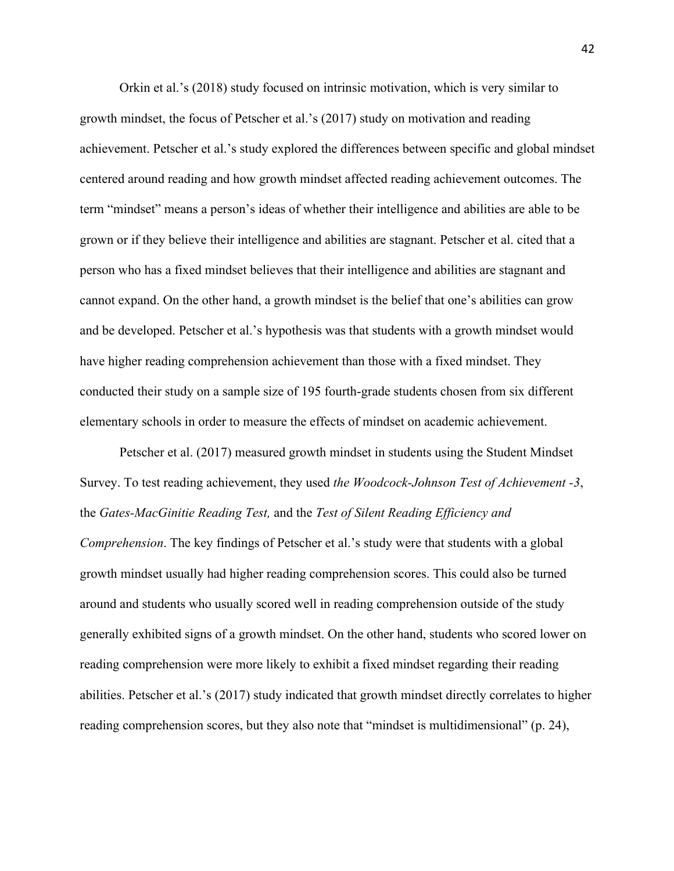Orkin et al.'s (2018) study focused on intrinsic motivation, which is very similar to growth mindset, the focus of Petscher et al.'s (2017) study on motivation and reading achievement. Petscher et al.'s study explored the differences between specific and global mindset centered around reading and how growth mindset affected reading achievement outcomes. The term "mindset" means a person's ideas of whether their intelligence and abilities are able to be grown or if they believe their intelligence and abilities are stagnant. Petscher et al. cited that a person who has a fixed mindset believes that their intelligence and abilities are stagnant and cannot expand. On the other hand, a growth mindset is the belief that one's abilities can grow and be developed. Petscher et al.'s hypothesis was that students with a growth mindset would have higher reading comprehension achievement than those with a fixed mindset. They conducted their study on a sample size of 195 fourth-grade students chosen from six different elementary schools in order to measure the effects of mindset on academic achievement.

Petscher et al. (2017) measured growth mindset in students using the Student Mindset Survey. To test reading achievement, they used *the Woodcock-Johnson Test of Achievement -3*, the *Gates-MacGinitie Reading Test,* and the *Test of Silent Reading Efficiency and Comprehension*. The key findings of Petscher et al.'s study were that students with a global growth mindset usually had higher reading comprehension scores. This could also be turned around and students who usually scored well in reading comprehension outside of the study generally exhibited signs of a growth mindset. On the other hand, students who scored lower on reading comprehension were more likely to exhibit a fixed mindset regarding their reading abilities. Petscher et al.'s (2017) study indicated that growth mindset directly correlates to higher reading comprehension scores, but they also note that "mindset is multidimensional" (p. 24),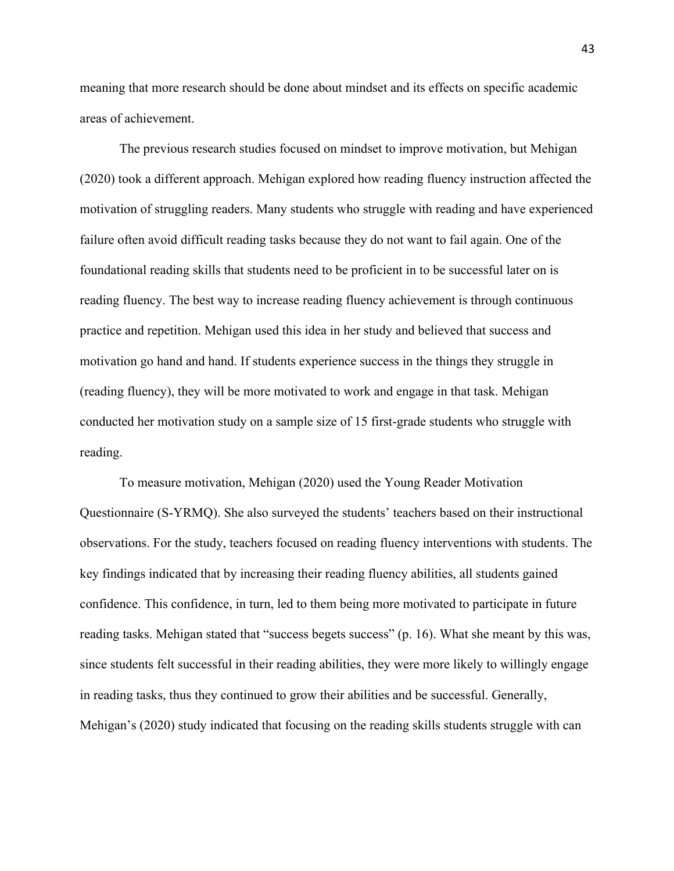meaning that more research should be done about mindset and its effects on specific academic areas of achievement.

The previous research studies focused on mindset to improve motivation, but Mehigan (2020) took a different approach. Mehigan explored how reading fluency instruction affected the motivation of struggling readers. Many students who struggle with reading and have experienced failure often avoid difficult reading tasks because they do not want to fail again. One of the foundational reading skills that students need to be proficient in to be successful later on is reading fluency. The best way to increase reading fluency achievement is through continuous practice and repetition. Mehigan used this idea in her study and believed that success and motivation go hand and hand. If students experience success in the things they struggle in (reading fluency), they will be more motivated to work and engage in that task. Mehigan conducted her motivation study on a sample size of 15 first-grade students who struggle with reading.

To measure motivation, Mehigan (2020) used the Young Reader Motivation Questionnaire (S-YRMQ). She also surveyed the students' teachers based on their instructional observations. For the study, teachers focused on reading fluency interventions with students. The key findings indicated that by increasing their reading fluency abilities, all students gained confidence. This confidence, in turn, led to them being more motivated to participate in future reading tasks. Mehigan stated that "success begets success" (p. 16). What she meant by this was, since students felt successful in their reading abilities, they were more likely to willingly engage in reading tasks, thus they continued to grow their abilities and be successful. Generally, Mehigan's (2020) study indicated that focusing on the reading skills students struggle with can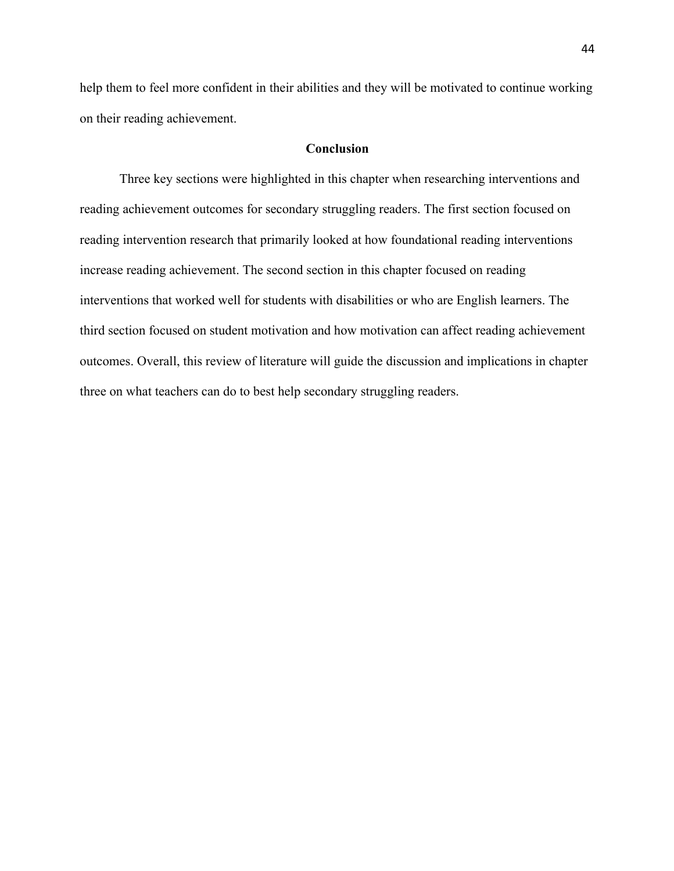help them to feel more confident in their abilities and they will be motivated to continue working on their reading achievement.

# **Conclusion**

Three key sections were highlighted in this chapter when researching interventions and reading achievement outcomes for secondary struggling readers. The first section focused on reading intervention research that primarily looked at how foundational reading interventions increase reading achievement. The second section in this chapter focused on reading interventions that worked well for students with disabilities or who are English learners. The third section focused on student motivation and how motivation can affect reading achievement outcomes. Overall, this review of literature will guide the discussion and implications in chapter three on what teachers can do to best help secondary struggling readers.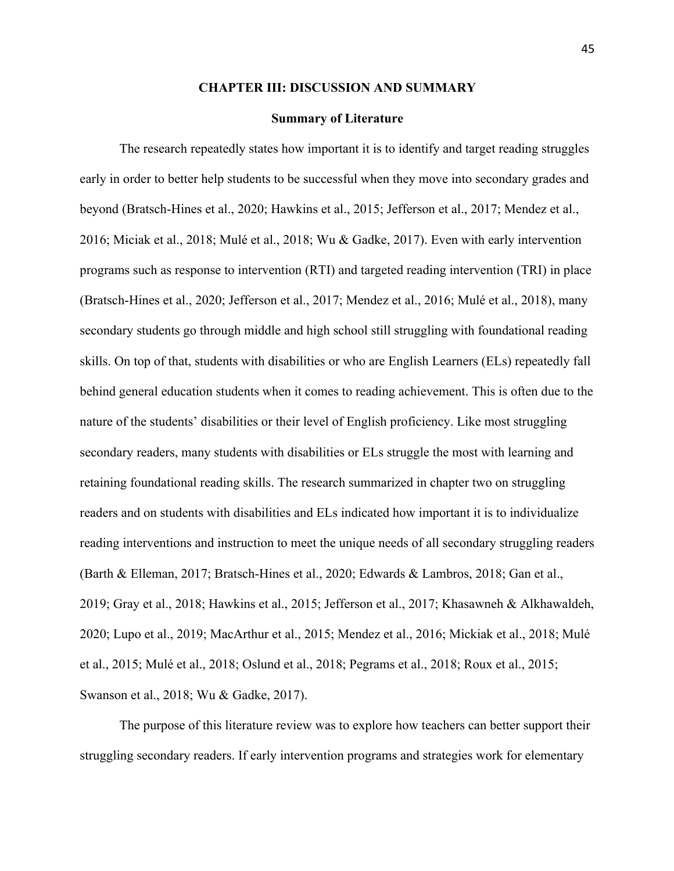#### **CHAPTER III: DISCUSSION AND SUMMARY**

#### **Summary of Literature**

The research repeatedly states how important it is to identify and target reading struggles early in order to better help students to be successful when they move into secondary grades and beyond (Bratsch-Hines et al., 2020; Hawkins et al., 2015; Jefferson et al., 2017; Mendez et al., 2016; Miciak et al., 2018; Mulé et al., 2018; Wu & Gadke, 2017). Even with early intervention programs such as response to intervention (RTI) and targeted reading intervention (TRI) in place (Bratsch-Hines et al., 2020; Jefferson et al., 2017; Mendez et al., 2016; Mulé et al., 2018), many secondary students go through middle and high school still struggling with foundational reading skills. On top of that, students with disabilities or who are English Learners (ELs) repeatedly fall behind general education students when it comes to reading achievement. This is often due to the nature of the students' disabilities or their level of English proficiency. Like most struggling secondary readers, many students with disabilities or ELs struggle the most with learning and retaining foundational reading skills. The research summarized in chapter two on struggling readers and on students with disabilities and ELs indicated how important it is to individualize reading interventions and instruction to meet the unique needs of all secondary struggling readers (Barth & Elleman, 2017; Bratsch-Hines et al., 2020; Edwards & Lambros, 2018; Gan et al., 2019; Gray et al., 2018; Hawkins et al., 2015; Jefferson et al., 2017; Khasawneh & Alkhawaldeh, 2020; Lupo et al., 2019; MacArthur et al., 2015; Mendez et al., 2016; Mickiak et al., 2018; Mulé et al., 2015; Mulé et al., 2018; Oslund et al., 2018; Pegrams et al., 2018; Roux et al., 2015; Swanson et al., 2018; Wu & Gadke, 2017).

The purpose of this literature review was to explore how teachers can better support their struggling secondary readers. If early intervention programs and strategies work for elementary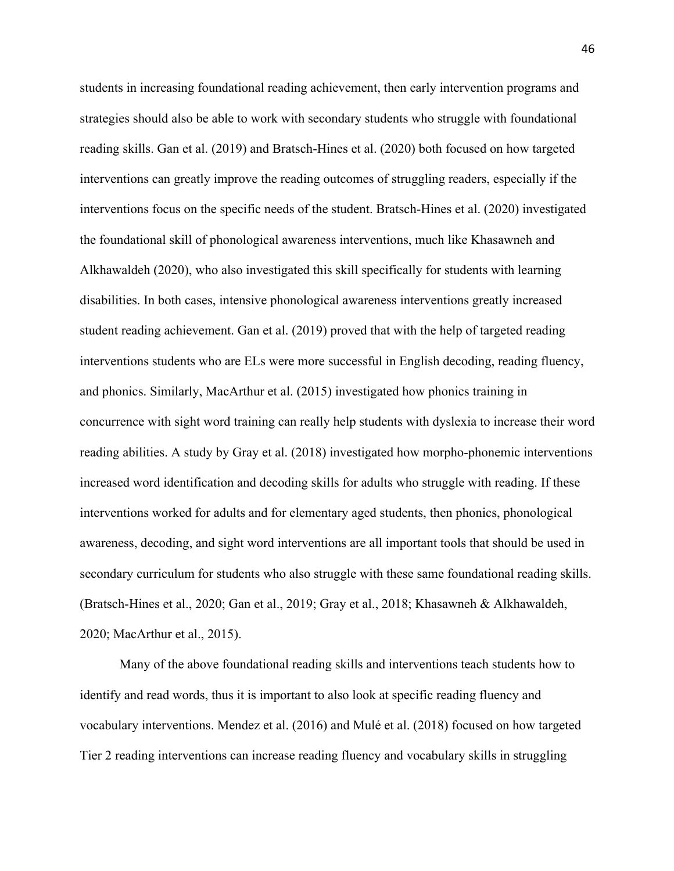students in increasing foundational reading achievement, then early intervention programs and strategies should also be able to work with secondary students who struggle with foundational reading skills. Gan et al. (2019) and Bratsch-Hines et al. (2020) both focused on how targeted interventions can greatly improve the reading outcomes of struggling readers, especially if the interventions focus on the specific needs of the student. Bratsch-Hines et al. (2020) investigated the foundational skill of phonological awareness interventions, much like Khasawneh and Alkhawaldeh (2020), who also investigated this skill specifically for students with learning disabilities. In both cases, intensive phonological awareness interventions greatly increased student reading achievement. Gan et al. (2019) proved that with the help of targeted reading interventions students who are ELs were more successful in English decoding, reading fluency, and phonics. Similarly, MacArthur et al. (2015) investigated how phonics training in concurrence with sight word training can really help students with dyslexia to increase their word reading abilities. A study by Gray et al. (2018) investigated how morpho-phonemic interventions increased word identification and decoding skills for adults who struggle with reading. If these interventions worked for adults and for elementary aged students, then phonics, phonological awareness, decoding, and sight word interventions are all important tools that should be used in secondary curriculum for students who also struggle with these same foundational reading skills. (Bratsch-Hines et al., 2020; Gan et al., 2019; Gray et al., 2018; Khasawneh & Alkhawaldeh, 2020; MacArthur et al., 2015).

Many of the above foundational reading skills and interventions teach students how to identify and read words, thus it is important to also look at specific reading fluency and vocabulary interventions. Mendez et al. (2016) and Mulé et al. (2018) focused on how targeted Tier 2 reading interventions can increase reading fluency and vocabulary skills in struggling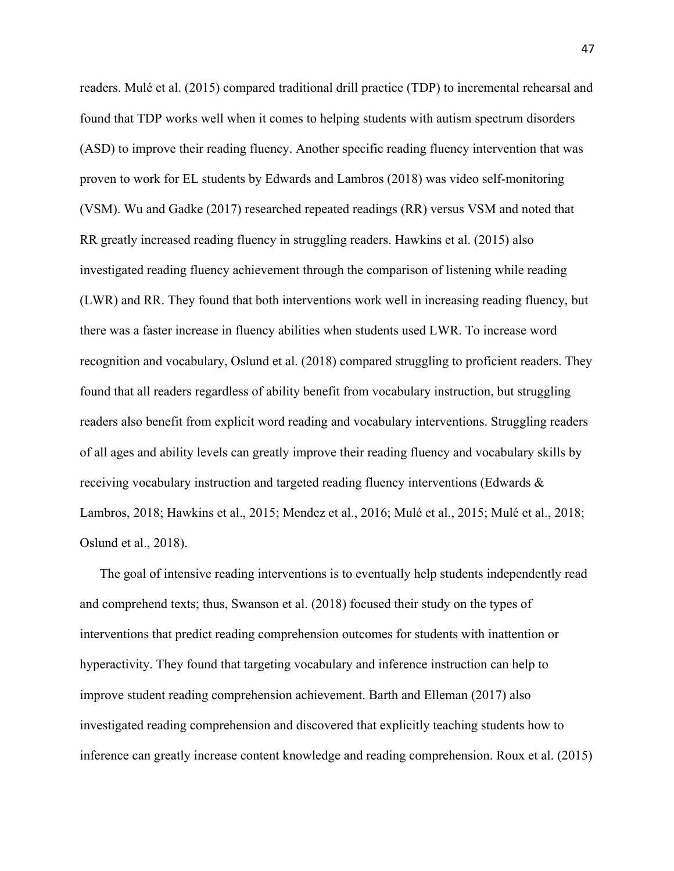readers. Mulé et al. (2015) compared traditional drill practice (TDP) to incremental rehearsal and found that TDP works well when it comes to helping students with autism spectrum disorders (ASD) to improve their reading fluency. Another specific reading fluency intervention that was proven to work for EL students by Edwards and Lambros (2018) was video self-monitoring (VSM). Wu and Gadke (2017) researched repeated readings (RR) versus VSM and noted that RR greatly increased reading fluency in struggling readers. Hawkins et al. (2015) also investigated reading fluency achievement through the comparison of listening while reading (LWR) and RR. They found that both interventions work well in increasing reading fluency, but there was a faster increase in fluency abilities when students used LWR. To increase word recognition and vocabulary, Oslund et al. (2018) compared struggling to proficient readers. They found that all readers regardless of ability benefit from vocabulary instruction, but struggling readers also benefit from explicit word reading and vocabulary interventions. Struggling readers of all ages and ability levels can greatly improve their reading fluency and vocabulary skills by receiving vocabulary instruction and targeted reading fluency interventions (Edwards & Lambros, 2018; Hawkins et al., 2015; Mendez et al., 2016; Mulé et al., 2015; Mulé et al., 2018; Oslund et al., 2018).

The goal of intensive reading interventions is to eventually help students independently read and comprehend texts; thus, Swanson et al. (2018) focused their study on the types of interventions that predict reading comprehension outcomes for students with inattention or hyperactivity. They found that targeting vocabulary and inference instruction can help to improve student reading comprehension achievement. Barth and Elleman (2017) also investigated reading comprehension and discovered that explicitly teaching students how to inference can greatly increase content knowledge and reading comprehension. Roux et al. (2015)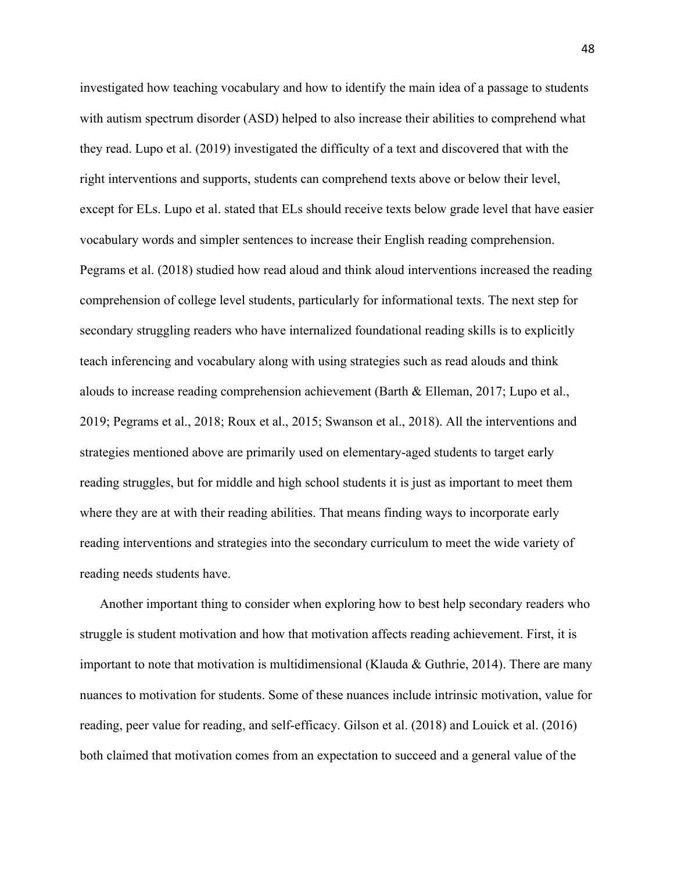investigated how teaching vocabulary and how to identify the main idea of a passage to students with autism spectrum disorder (ASD) helped to also increase their abilities to comprehend what they read. Lupo et al. (2019) investigated the difficulty of a text and discovered that with the right interventions and supports, students can comprehend texts above or below their level, except for ELs. Lupo et al. stated that ELs should receive texts below grade level that have easier vocabulary words and simpler sentences to increase their English reading comprehension. Pegrams et al. (2018) studied how read aloud and think aloud interventions increased the reading comprehension of college level students, particularly for informational texts. The next step for secondary struggling readers who have internalized foundational reading skills is to explicitly teach inferencing and vocabulary along with using strategies such as read alouds and think alouds to increase reading comprehension achievement (Barth & Elleman, 2017; Lupo et al., 2019; Pegrams et al., 2018; Roux et al., 2015; Swanson et al., 2018). All the interventions and strategies mentioned above are primarily used on elementary-aged students to target early reading struggles, but for middle and high school students it is just as important to meet them where they are at with their reading abilities. That means finding ways to incorporate early reading interventions and strategies into the secondary curriculum to meet the wide variety of reading needs students have.

Another important thing to consider when exploring how to best help secondary readers who struggle is student motivation and how that motivation affects reading achievement. First, it is important to note that motivation is multidimensional (Klauda & Guthrie, 2014). There are many nuances to motivation for students. Some of these nuances include intrinsic motivation, value for reading, peer value for reading, and self-efficacy. Gilson et al. (2018) and Louick et al. (2016) both claimed that motivation comes from an expectation to succeed and a general value of the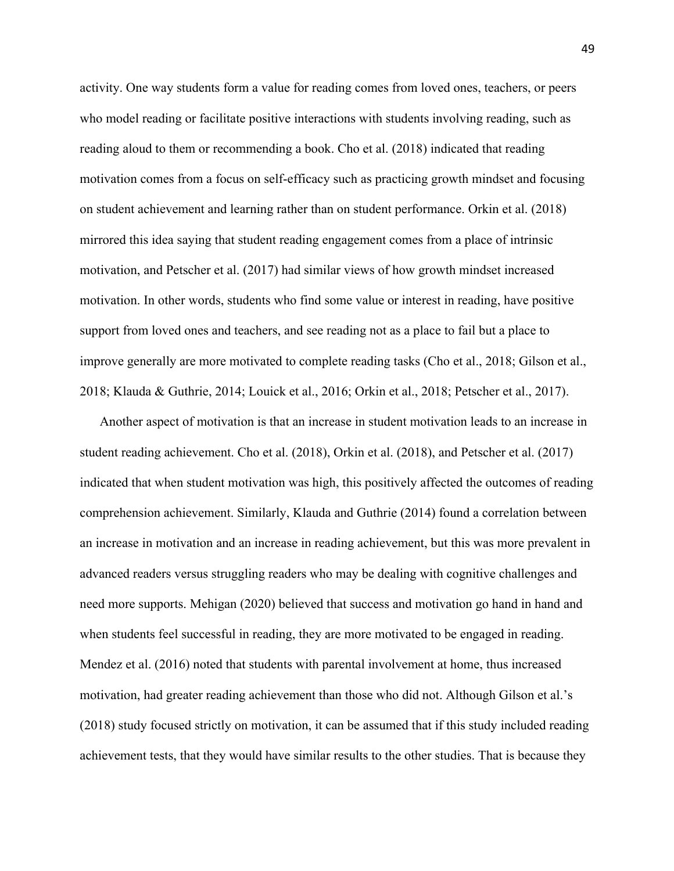activity. One way students form a value for reading comes from loved ones, teachers, or peers who model reading or facilitate positive interactions with students involving reading, such as reading aloud to them or recommending a book. Cho et al. (2018) indicated that reading motivation comes from a focus on self-efficacy such as practicing growth mindset and focusing on student achievement and learning rather than on student performance. Orkin et al. (2018) mirrored this idea saying that student reading engagement comes from a place of intrinsic motivation, and Petscher et al. (2017) had similar views of how growth mindset increased motivation. In other words, students who find some value or interest in reading, have positive support from loved ones and teachers, and see reading not as a place to fail but a place to improve generally are more motivated to complete reading tasks (Cho et al., 2018; Gilson et al., 2018; Klauda & Guthrie, 2014; Louick et al., 2016; Orkin et al., 2018; Petscher et al., 2017).

Another aspect of motivation is that an increase in student motivation leads to an increase in student reading achievement. Cho et al. (2018), Orkin et al. (2018), and Petscher et al. (2017) indicated that when student motivation was high, this positively affected the outcomes of reading comprehension achievement. Similarly, Klauda and Guthrie (2014) found a correlation between an increase in motivation and an increase in reading achievement, but this was more prevalent in advanced readers versus struggling readers who may be dealing with cognitive challenges and need more supports. Mehigan (2020) believed that success and motivation go hand in hand and when students feel successful in reading, they are more motivated to be engaged in reading. Mendez et al. (2016) noted that students with parental involvement at home, thus increased motivation, had greater reading achievement than those who did not. Although Gilson et al.'s (2018) study focused strictly on motivation, it can be assumed that if this study included reading achievement tests, that they would have similar results to the other studies. That is because they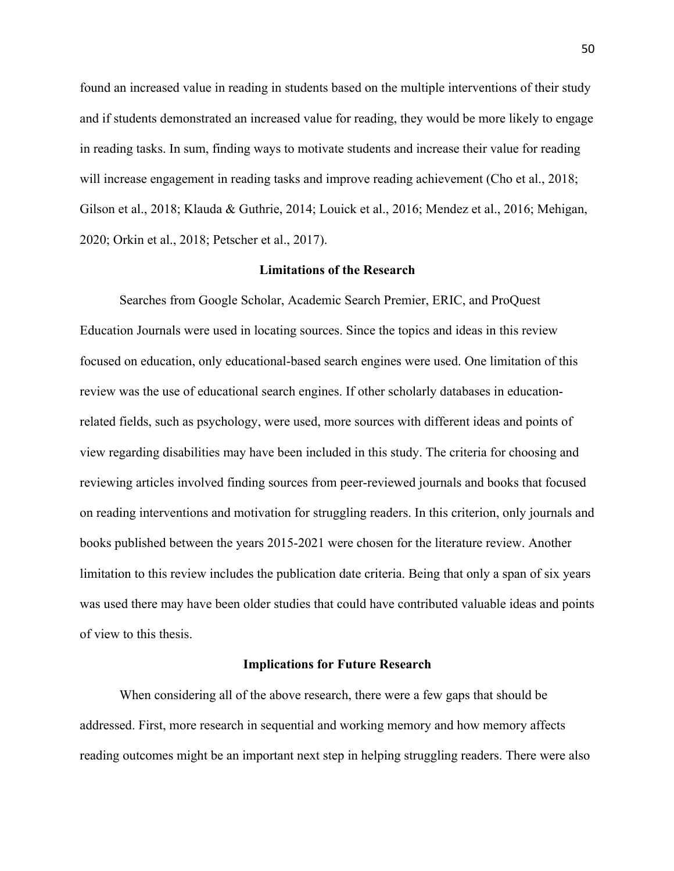found an increased value in reading in students based on the multiple interventions of their study and if students demonstrated an increased value for reading, they would be more likely to engage in reading tasks. In sum, finding ways to motivate students and increase their value for reading will increase engagement in reading tasks and improve reading achievement (Cho et al., 2018; Gilson et al., 2018; Klauda & Guthrie, 2014; Louick et al., 2016; Mendez et al., 2016; Mehigan, 2020; Orkin et al., 2018; Petscher et al., 2017).

# **Limitations of the Research**

Searches from Google Scholar, Academic Search Premier, ERIC, and ProQuest Education Journals were used in locating sources. Since the topics and ideas in this review focused on education, only educational-based search engines were used. One limitation of this review was the use of educational search engines. If other scholarly databases in educationrelated fields, such as psychology, were used, more sources with different ideas and points of view regarding disabilities may have been included in this study. The criteria for choosing and reviewing articles involved finding sources from peer-reviewed journals and books that focused on reading interventions and motivation for struggling readers. In this criterion, only journals and books published between the years 2015-2021 were chosen for the literature review. Another limitation to this review includes the publication date criteria. Being that only a span of six years was used there may have been older studies that could have contributed valuable ideas and points of view to this thesis.

# **Implications for Future Research**

When considering all of the above research, there were a few gaps that should be addressed. First, more research in sequential and working memory and how memory affects reading outcomes might be an important next step in helping struggling readers. There were also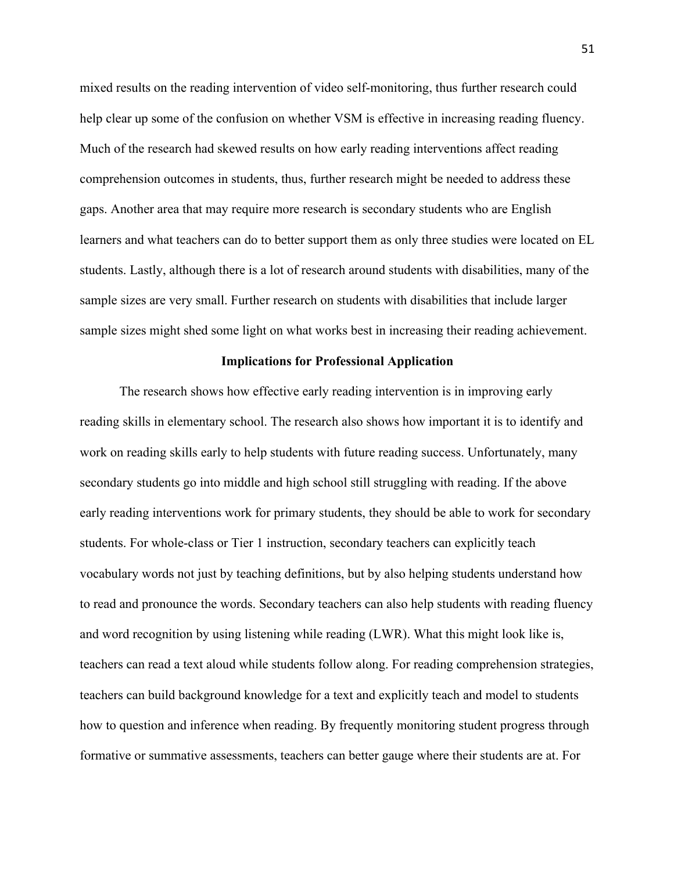mixed results on the reading intervention of video self-monitoring, thus further research could help clear up some of the confusion on whether VSM is effective in increasing reading fluency. Much of the research had skewed results on how early reading interventions affect reading comprehension outcomes in students, thus, further research might be needed to address these gaps. Another area that may require more research is secondary students who are English learners and what teachers can do to better support them as only three studies were located on EL students. Lastly, although there is a lot of research around students with disabilities, many of the sample sizes are very small. Further research on students with disabilities that include larger sample sizes might shed some light on what works best in increasing their reading achievement.

#### **Implications for Professional Application**

The research shows how effective early reading intervention is in improving early reading skills in elementary school. The research also shows how important it is to identify and work on reading skills early to help students with future reading success. Unfortunately, many secondary students go into middle and high school still struggling with reading. If the above early reading interventions work for primary students, they should be able to work for secondary students. For whole-class or Tier 1 instruction, secondary teachers can explicitly teach vocabulary words not just by teaching definitions, but by also helping students understand how to read and pronounce the words. Secondary teachers can also help students with reading fluency and word recognition by using listening while reading (LWR). What this might look like is, teachers can read a text aloud while students follow along. For reading comprehension strategies, teachers can build background knowledge for a text and explicitly teach and model to students how to question and inference when reading. By frequently monitoring student progress through formative or summative assessments, teachers can better gauge where their students are at. For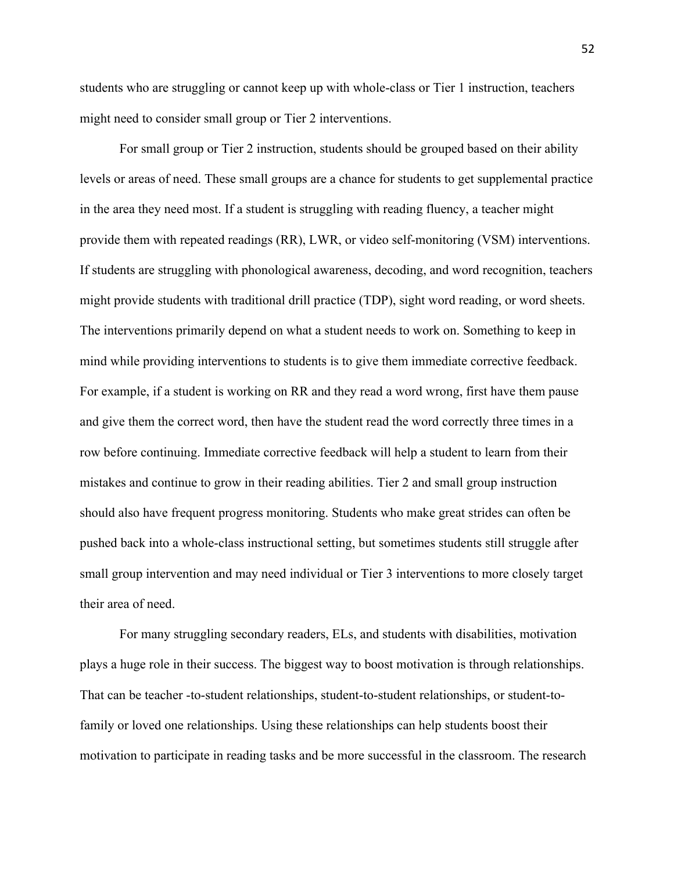students who are struggling or cannot keep up with whole-class or Tier 1 instruction, teachers might need to consider small group or Tier 2 interventions.

For small group or Tier 2 instruction, students should be grouped based on their ability levels or areas of need. These small groups are a chance for students to get supplemental practice in the area they need most. If a student is struggling with reading fluency, a teacher might provide them with repeated readings (RR), LWR, or video self-monitoring (VSM) interventions. If students are struggling with phonological awareness, decoding, and word recognition, teachers might provide students with traditional drill practice (TDP), sight word reading, or word sheets. The interventions primarily depend on what a student needs to work on. Something to keep in mind while providing interventions to students is to give them immediate corrective feedback. For example, if a student is working on RR and they read a word wrong, first have them pause and give them the correct word, then have the student read the word correctly three times in a row before continuing. Immediate corrective feedback will help a student to learn from their mistakes and continue to grow in their reading abilities. Tier 2 and small group instruction should also have frequent progress monitoring. Students who make great strides can often be pushed back into a whole-class instructional setting, but sometimes students still struggle after small group intervention and may need individual or Tier 3 interventions to more closely target their area of need.

For many struggling secondary readers, ELs, and students with disabilities, motivation plays a huge role in their success. The biggest way to boost motivation is through relationships. That can be teacher -to-student relationships, student-to-student relationships, or student-tofamily or loved one relationships. Using these relationships can help students boost their motivation to participate in reading tasks and be more successful in the classroom. The research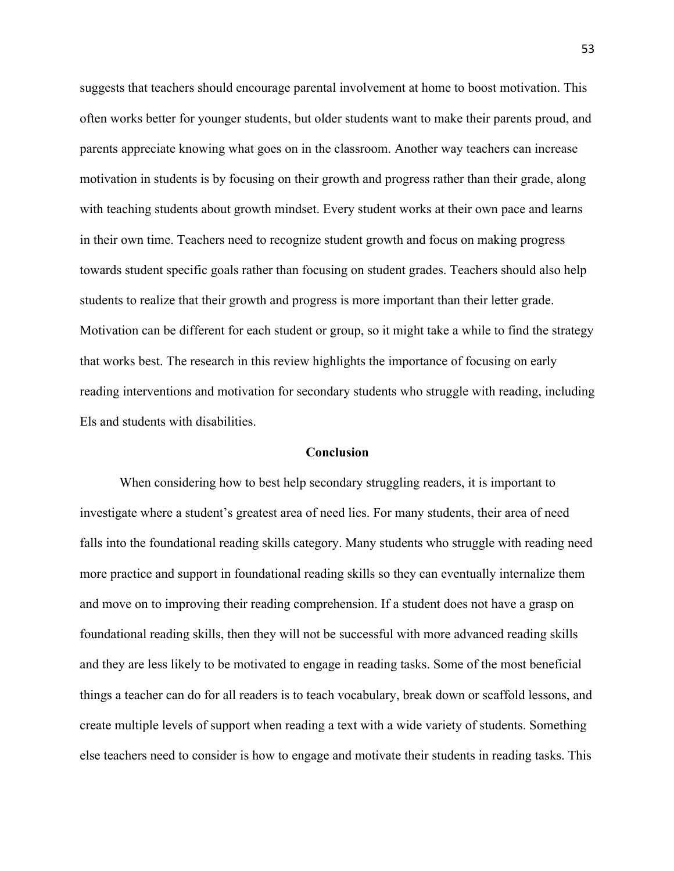suggests that teachers should encourage parental involvement at home to boost motivation. This often works better for younger students, but older students want to make their parents proud, and parents appreciate knowing what goes on in the classroom. Another way teachers can increase motivation in students is by focusing on their growth and progress rather than their grade, along with teaching students about growth mindset. Every student works at their own pace and learns in their own time. Teachers need to recognize student growth and focus on making progress towards student specific goals rather than focusing on student grades. Teachers should also help students to realize that their growth and progress is more important than their letter grade. Motivation can be different for each student or group, so it might take a while to find the strategy that works best. The research in this review highlights the importance of focusing on early reading interventions and motivation for secondary students who struggle with reading, including Els and students with disabilities.

# **Conclusion**

When considering how to best help secondary struggling readers, it is important to investigate where a student's greatest area of need lies. For many students, their area of need falls into the foundational reading skills category. Many students who struggle with reading need more practice and support in foundational reading skills so they can eventually internalize them and move on to improving their reading comprehension. If a student does not have a grasp on foundational reading skills, then they will not be successful with more advanced reading skills and they are less likely to be motivated to engage in reading tasks. Some of the most beneficial things a teacher can do for all readers is to teach vocabulary, break down or scaffold lessons, and create multiple levels of support when reading a text with a wide variety of students. Something else teachers need to consider is how to engage and motivate their students in reading tasks. This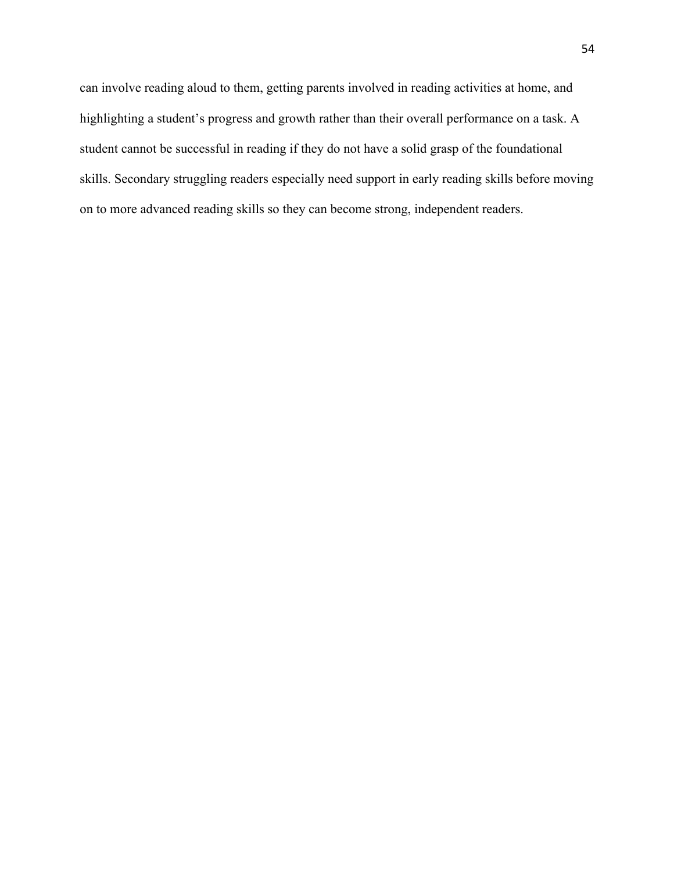can involve reading aloud to them, getting parents involved in reading activities at home, and highlighting a student's progress and growth rather than their overall performance on a task. A student cannot be successful in reading if they do not have a solid grasp of the foundational skills. Secondary struggling readers especially need support in early reading skills before moving on to more advanced reading skills so they can become strong, independent readers.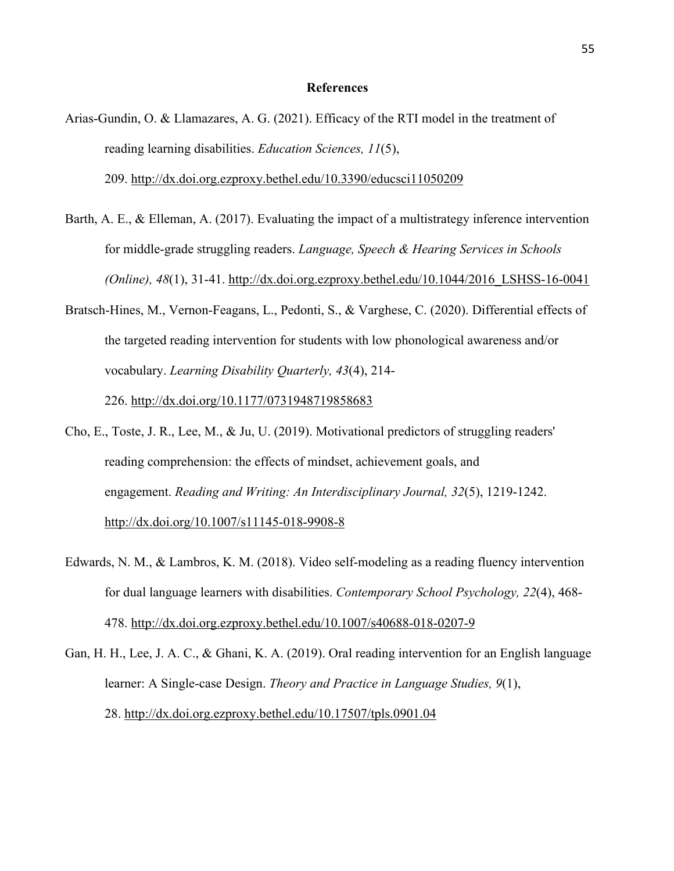## **References**

- Arias-Gundin, O. & Llamazares, A. G. (2021). Efficacy of the RTI model in the treatment of reading learning disabilities. *Education Sciences, 11*(5), 209. http://dx.doi.org.ezproxy.bethel.edu/10.3390/educsci11050209
- Barth, A. E., & Elleman, A. (2017). Evaluating the impact of a multistrategy inference intervention for middle-grade struggling readers. *Language, Speech & Hearing Services in Schools (Online), 48*(1), 31-41. http://dx.doi.org.ezproxy.bethel.edu/10.1044/2016\_LSHSS-16-0041
- Bratsch-Hines, M., Vernon-Feagans, L., Pedonti, S., & Varghese, C. (2020). Differential effects of the targeted reading intervention for students with low phonological awareness and/or vocabulary. *Learning Disability Quarterly, 43*(4), 214- 226. http://dx.doi.org/10.1177/0731948719858683
- Cho, E., Toste, J. R., Lee, M., & Ju, U. (2019). Motivational predictors of struggling readers' reading comprehension: the effects of mindset, achievement goals, and engagement. *Reading and Writing: An Interdisciplinary Journal, 32*(5), 1219-1242. http://dx.doi.org/10.1007/s11145-018-9908-8
- Edwards, N. M., & Lambros, K. M. (2018). Video self-modeling as a reading fluency intervention for dual language learners with disabilities. *Contemporary School Psychology, 22*(4), 468- 478. http://dx.doi.org.ezproxy.bethel.edu/10.1007/s40688-018-0207-9
- Gan, H. H., Lee, J. A. C., & Ghani, K. A. (2019). Oral reading intervention for an English language learner: A Single-case Design. *Theory and Practice in Language Studies, 9*(1), 28. http://dx.doi.org.ezproxy.bethel.edu/10.17507/tpls.0901.04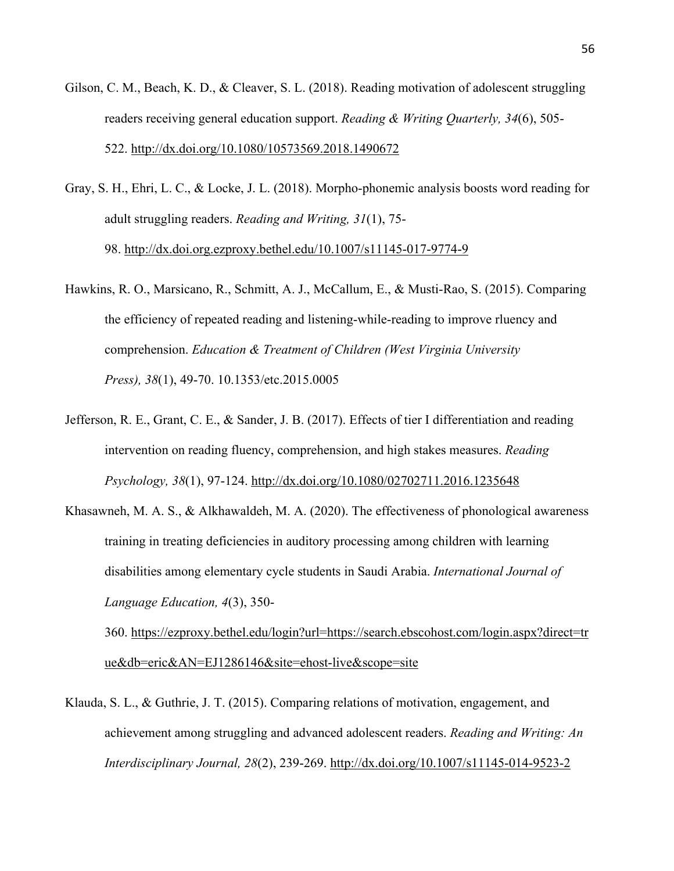- Gilson, C. M., Beach, K. D., & Cleaver, S. L. (2018). Reading motivation of adolescent struggling readers receiving general education support. *Reading & Writing Quarterly, 34*(6), 505- 522. http://dx.doi.org/10.1080/10573569.2018.1490672
- Gray, S. H., Ehri, L. C., & Locke, J. L. (2018). Morpho-phonemic analysis boosts word reading for adult struggling readers. *Reading and Writing, 31*(1), 75- 98. http://dx.doi.org.ezproxy.bethel.edu/10.1007/s11145-017-9774-9
- Hawkins, R. O., Marsicano, R., Schmitt, A. J., McCallum, E., & Musti-Rao, S. (2015). Comparing the efficiency of repeated reading and listening-while-reading to improve rluency and comprehension. *Education & Treatment of Children (West Virginia University Press), 38*(1), 49-70. 10.1353/etc.2015.0005
- Jefferson, R. E., Grant, C. E., & Sander, J. B. (2017). Effects of tier I differentiation and reading intervention on reading fluency, comprehension, and high stakes measures. *Reading Psychology, 38*(1), 97-124. http://dx.doi.org/10.1080/02702711.2016.1235648
- Khasawneh, M. A. S., & Alkhawaldeh, M. A. (2020). The effectiveness of phonological awareness training in treating deficiencies in auditory processing among children with learning disabilities among elementary cycle students in Saudi Arabia. *International Journal of Language Education, 4*(3), 350-

360. https://ezproxy.bethel.edu/login?url=https://search.ebscohost.com/login.aspx?direct=tr ue&db=eric&AN=EJ1286146&site=ehost-live&scope=site

Klauda, S. L., & Guthrie, J. T. (2015). Comparing relations of motivation, engagement, and achievement among struggling and advanced adolescent readers. *Reading and Writing: An Interdisciplinary Journal, 28*(2), 239-269. http://dx.doi.org/10.1007/s11145-014-9523-2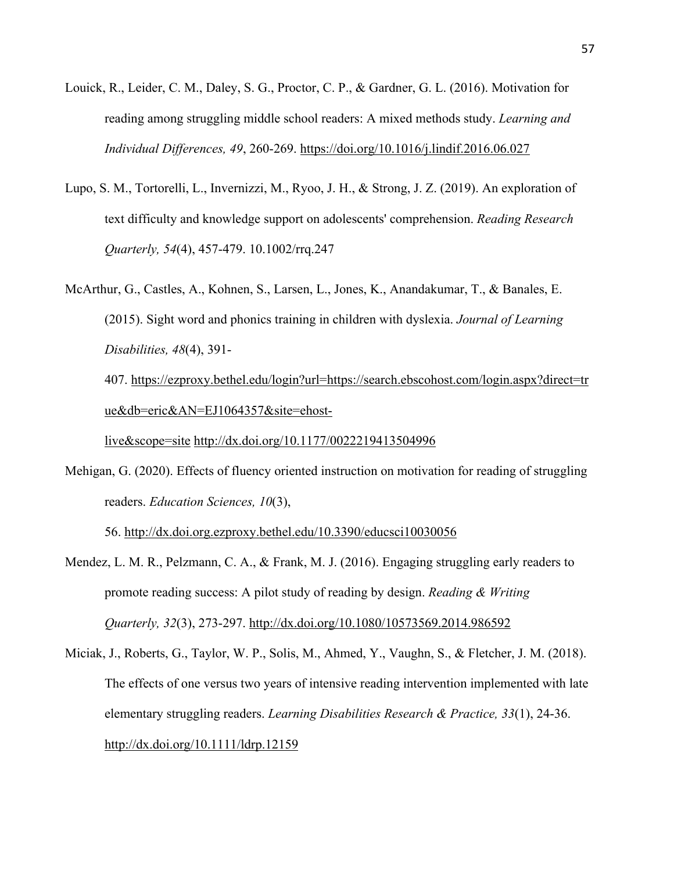- Louick, R., Leider, C. M., Daley, S. G., Proctor, C. P., & Gardner, G. L. (2016). Motivation for reading among struggling middle school readers: A mixed methods study. *Learning and Individual Differences, 49*, 260-269. https://doi.org/10.1016/j.lindif.2016.06.027
- Lupo, S. M., Tortorelli, L., Invernizzi, M., Ryoo, J. H., & Strong, J. Z. (2019). An exploration of text difficulty and knowledge support on adolescents' comprehension. *Reading Research Quarterly, 54*(4), 457-479. 10.1002/rrq.247
- McArthur, G., Castles, A., Kohnen, S., Larsen, L., Jones, K., Anandakumar, T., & Banales, E. (2015). Sight word and phonics training in children with dyslexia. *Journal of Learning Disabilities, 48*(4), 391-

407. https://ezproxy.bethel.edu/login?url=https://search.ebscohost.com/login.aspx?direct=tr ue&db=eric&AN=EJ1064357&site=ehost-

live&scope=site http://dx.doi.org/10.1177/0022219413504996

Mehigan, G. (2020). Effects of fluency oriented instruction on motivation for reading of struggling readers. *Education Sciences, 10*(3),

56. http://dx.doi.org.ezproxy.bethel.edu/10.3390/educsci10030056

- Mendez, L. M. R., Pelzmann, C. A., & Frank, M. J. (2016). Engaging struggling early readers to promote reading success: A pilot study of reading by design. *Reading & Writing Quarterly, 32*(3), 273-297. http://dx.doi.org/10.1080/10573569.2014.986592
- Miciak, J., Roberts, G., Taylor, W. P., Solis, M., Ahmed, Y., Vaughn, S., & Fletcher, J. M. (2018). The effects of one versus two years of intensive reading intervention implemented with late elementary struggling readers. *Learning Disabilities Research & Practice, 33*(1), 24-36. http://dx.doi.org/10.1111/ldrp.12159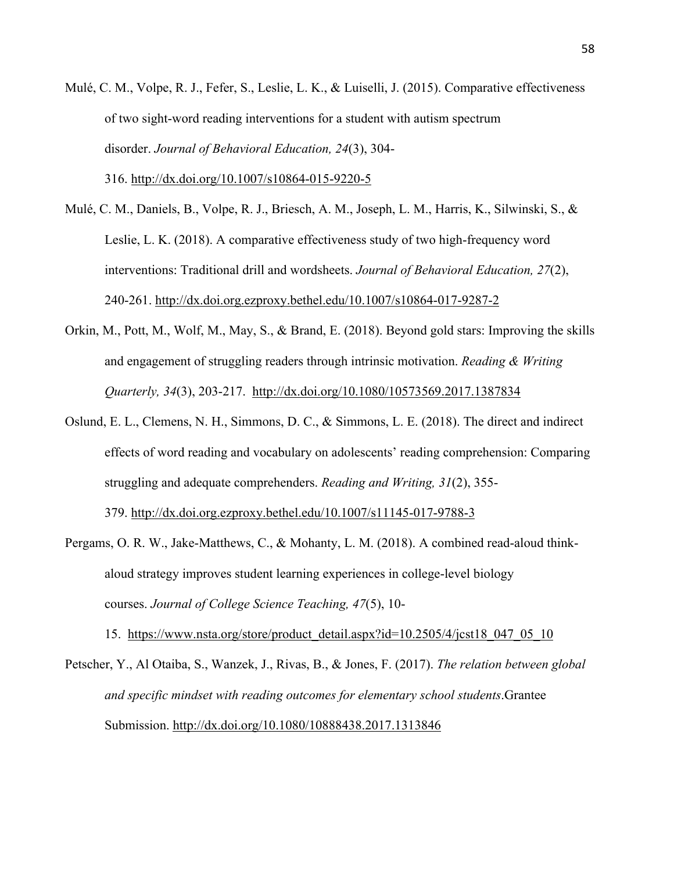Mulé, C. M., Volpe, R. J., Fefer, S., Leslie, L. K., & Luiselli, J. (2015). Comparative effectiveness of two sight-word reading interventions for a student with autism spectrum disorder. *Journal of Behavioral Education, 24*(3), 304-

316. http://dx.doi.org/10.1007/s10864-015-9220-5

- Mulé, C. M., Daniels, B., Volpe, R. J., Briesch, A. M., Joseph, L. M., Harris, K., Silwinski, S., & Leslie, L. K. (2018). A comparative effectiveness study of two high-frequency word interventions: Traditional drill and wordsheets. *Journal of Behavioral Education, 27*(2), 240-261. http://dx.doi.org.ezproxy.bethel.edu/10.1007/s10864-017-9287-2
- Orkin, M., Pott, M., Wolf, M., May, S., & Brand, E. (2018). Beyond gold stars: Improving the skills and engagement of struggling readers through intrinsic motivation. *Reading & Writing Quarterly, 34*(3), 203-217. http://dx.doi.org/10.1080/10573569.2017.1387834
- Oslund, E. L., Clemens, N. H., Simmons, D. C., & Simmons, L. E. (2018). The direct and indirect effects of word reading and vocabulary on adolescents' reading comprehension: Comparing struggling and adequate comprehenders. *Reading and Writing, 31*(2), 355-

379. http://dx.doi.org.ezproxy.bethel.edu/10.1007/s11145-017-9788-3

Pergams, O. R. W., Jake-Matthews, C., & Mohanty, L. M. (2018). A combined read-aloud thinkaloud strategy improves student learning experiences in college-level biology courses. *Journal of College Science Teaching, 47*(5), 10-

15. https://www.nsta.org/store/product\_detail.aspx?id=10.2505/4/jcst18\_047\_05\_10

Petscher, Y., Al Otaiba, S., Wanzek, J., Rivas, B., & Jones, F. (2017). *The relation between global and specific mindset with reading outcomes for elementary school students*.Grantee Submission. http://dx.doi.org/10.1080/10888438.2017.1313846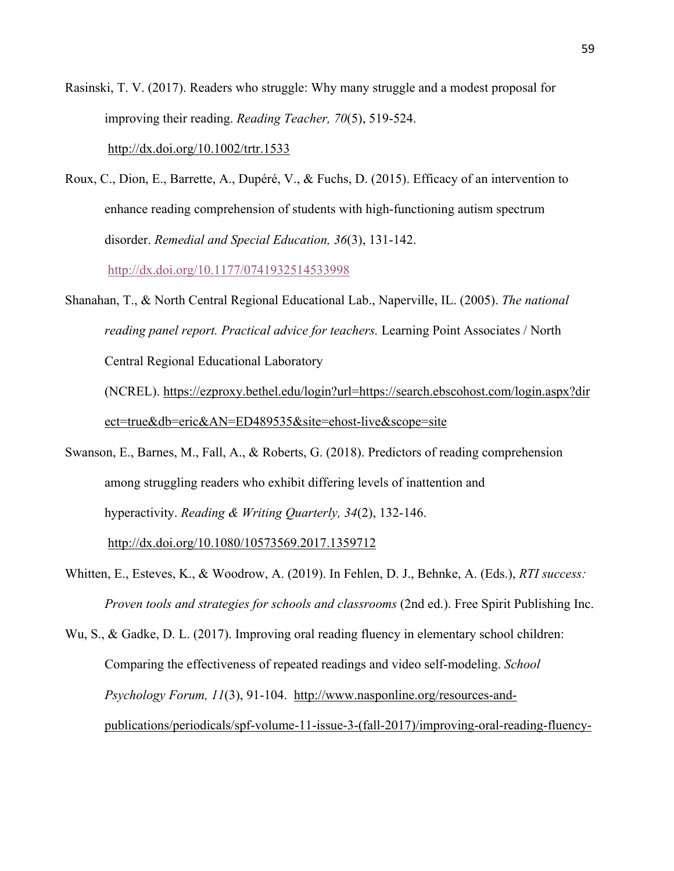Rasinski, T. V. (2017). Readers who struggle: Why many struggle and a modest proposal for improving their reading. *Reading Teacher, 70*(5), 519-524.

http://dx.doi.org/10.1002/trtr.1533

Roux, C., Dion, E., Barrette, A., Dupéré, V., & Fuchs, D. (2015). Efficacy of an intervention to enhance reading comprehension of students with high-functioning autism spectrum disorder. *Remedial and Special Education, 36*(3), 131-142.

http://dx.doi.org/10.1177/0741932514533998

Shanahan, T., & North Central Regional Educational Lab., Naperville, IL. (2005). *The national reading panel report. Practical advice for teachers.* Learning Point Associates / North Central Regional Educational Laboratory

(NCREL). https://ezproxy.bethel.edu/login?url=https://search.ebscohost.com/login.aspx?dir ect=true&db=eric&AN=ED489535&site=ehost-live&scope=site

- Swanson, E., Barnes, M., Fall, A., & Roberts, G. (2018). Predictors of reading comprehension among struggling readers who exhibit differing levels of inattention and hyperactivity. *Reading & Writing Quarterly, 34*(2), 132-146. http://dx.doi.org/10.1080/10573569.2017.1359712
- Whitten, E., Esteves, K., & Woodrow, A. (2019). In Fehlen, D. J., Behnke, A. (Eds.), *RTI success: Proven tools and strategies for schools and classrooms* (2nd ed.). Free Spirit Publishing Inc.
- Wu, S., & Gadke, D. L. (2017). Improving oral reading fluency in elementary school children: Comparing the effectiveness of repeated readings and video self-modeling. *School Psychology Forum, 11*(3), 91-104. http://www.nasponline.org/resources-andpublications/periodicals/spf-volume-11-issue-3-(fall-2017)/improving-oral-reading-fluency-